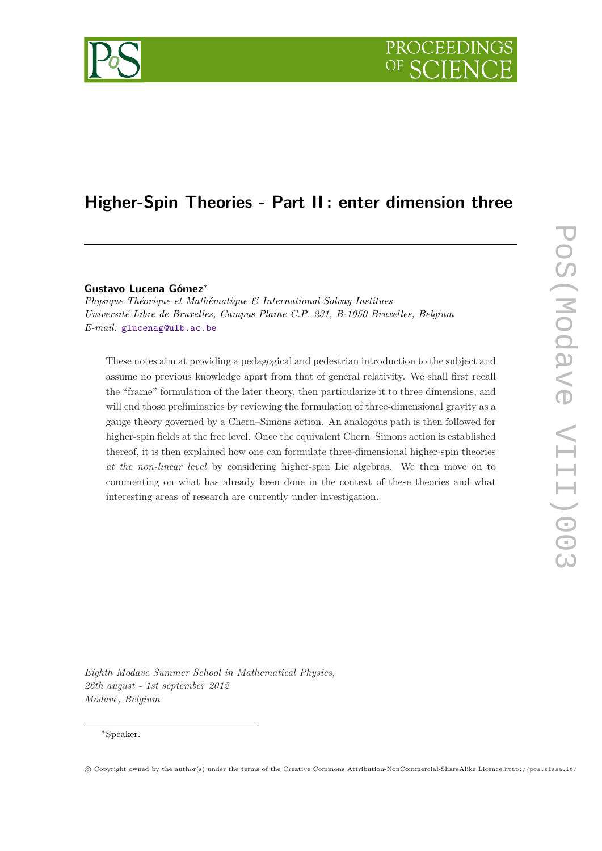# **Higher-Spin Theories - Part II : enter dimension three**

# **Gustavo Lucena Gómez**<sup>∗</sup>

*Physique Théorique et Mathématique & International Solvay Institues Université Libre de Bruxelles, Campus Plaine C.P. 231, B-1050 Bruxelles, Belgium E-mail:* [glucenag@ulb.ac.be](mailto:glucenag@ulb.ac.be)

These notes aim at providing a pedagogical and pedestrian introduction to the subject and assume no previous knowledge apart from that of general relativity. We shall first recall the "frame" formulation of the later theory, then particularize it to three dimensions, and will end those preliminaries by reviewing the formulation of three-dimensional gravity as a gauge theory governed by a Chern–Simons action. An analogous path is then followed for higher-spin fields at the free level. Once the equivalent Chern–Simons action is established thereof, it is then explained how one can formulate three-dimensional higher-spin theories *at the non-linear level* by considering higher-spin Lie algebras. We then move on to commenting on what has already been done in the context of these theories and what interesting areas of research are currently under investigation.

*Eighth Modave Summer School in Mathematical Physics, 26th august - 1st september 2012 Modave, Belgium*

c Copyright owned by the author(s) under the terms of the Creative Commons Attribution-NonCommercial-ShareAlike Licence.http://pos.sissa.it/

<sup>∗</sup>Speaker.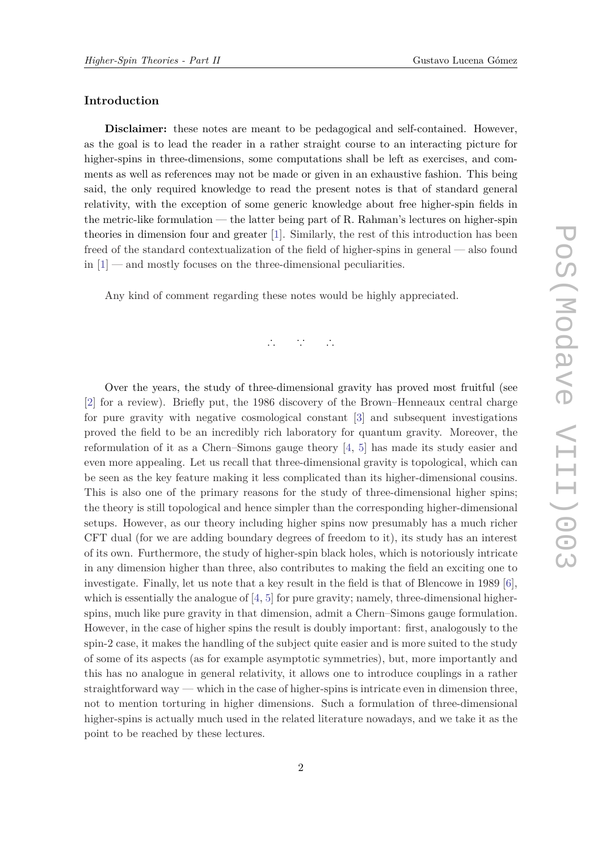# **Introduction**

**Disclaimer:** these notes are meant to be pedagogical and self-contained. However, as the goal is to lead the reader in a rather straight course to an interacting picture for higher-spins in three-dimensions, some computations shall be left as exercises, and comments as well as references may not be made or given in an exhaustive fashion. This being said, the only required knowledge to read the present notes is that of standard general relativity, with the exception of some generic knowledge about free higher-spin fields in the metric-like formulation — the latter being part of R. Rahman's lectures on higher-spin theories in dimension four and greater [[1](#page-33-0)]. Similarly, the rest of this introduction has been freed of the standard contextualization of the field of higher-spins in general — also found  $\text{in } [1]$  $\text{in } [1]$  — and mostly focuses on the three-dimensional peculiarities.

Any kind of comment regarding these notes would be highly appreciated.

$$
\mathbb{Z}^2\cap \mathbb{Z}^2\cap \mathbb{Z}
$$

Over the years, the study of three-dimensional gravity has proved most fruitful (see [\[2\]](#page-33-0) for a review). Briefly put, the 1986 discovery of the Brown–Henneaux central charge for pure gravity with negative cosmological constant [[3](#page-33-0)] and subsequent investigations proved the field to be an incredibly rich laboratory for quantum gravity. Moreover, the reformulation of it as a Chern–Simons gauge theory [[4](#page-33-0), [5](#page-33-0)] has made its study easier and even more appealing. Let us recall that three-dimensional gravity is topological, which can be seen as the key feature making it less complicated than its higher-dimensional cousins. This is also one of the primary reasons for the study of three-dimensional higher spins; the theory is still topological and hence simpler than the corresponding higher-dimensional setups. However, as our theory including higher spins now presumably has a much richer CFT dual (for we are adding boundary degrees of freedom to it), its study has an interest of its own. Furthermore, the study of higher-spin black holes, which is notoriously intricate in any dimension higher than three, also contributes to making the field an exciting one to investigate. Finally, let us note that a key result in the field is that of Blencowe in 1989 [[6\]](#page-33-0), which is essentially the analogue of  $[4, 5]$  $[4, 5]$  $[4, 5]$  for pure gravity; namely, three-dimensional higherspins, much like pure gravity in that dimension, admit a Chern–Simons gauge formulation. However, in the case of higher spins the result is doubly important: first, analogously to the spin-2 case, it makes the handling of the subject quite easier and is more suited to the study of some of its aspects (as for example asymptotic symmetries), but, more importantly and this has no analogue in general relativity, it allows one to introduce couplings in a rather straightforward way — which in the case of higher-spins is intricate even in dimension three, not to mention torturing in higher dimensions. Such a formulation of three-dimensional higher-spins is actually much used in the related literature nowadays, and we take it as the point to be reached by these lectures.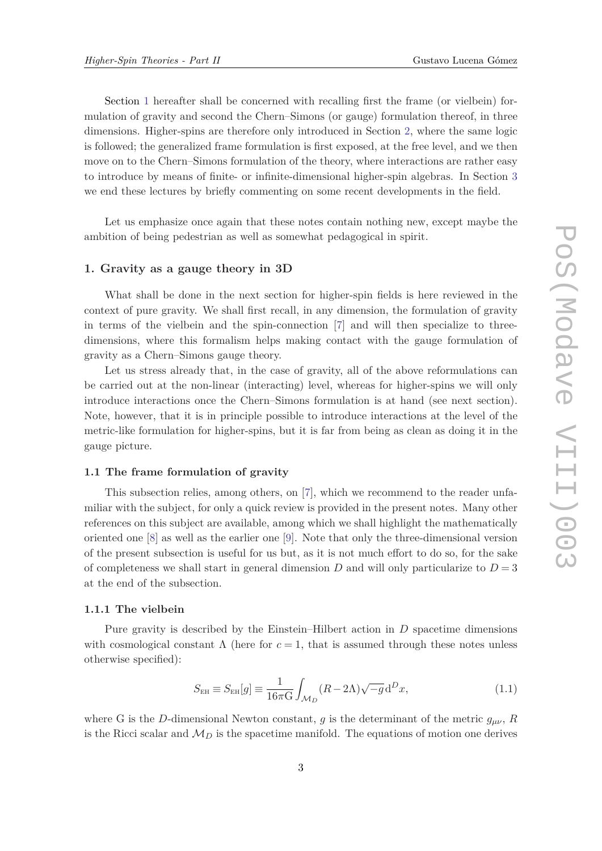<span id="page-2-0"></span>Section 1 hereafter shall be concerned with recalling first the frame (or vielbein) formulation of gravity and second the Chern–Simons (or gauge) formulation thereof, in three dimensions. Higher-spins are therefore only introduced in Section [2,](#page-17-0) where the same logic is followed; the generalized frame formulation is first exposed, at the free level, and we then move on to the Chern–Simons formulation of the theory, where interactions are rather easy to introduce by means of finite- or infinite-dimensional higher-spin algebras. In Section [3](#page-29-0) we end these lectures by briefly commenting on some recent developments in the field.

Let us emphasize once again that these notes contain nothing new, except maybe the ambition of being pedestrian as well as somewhat pedagogical in spirit.

#### **1. Gravity as a gauge theory in 3D**

What shall be done in the next section for higher-spin fields is here reviewed in the context of pure gravity. We shall first recall, in any dimension, the formulation of gravity in terms of the vielbein and the spin-connection [[7\]](#page-33-0) and will then specialize to threedimensions, where this formalism helps making contact with the gauge formulation of gravity as a Chern–Simons gauge theory.

Let us stress already that, in the case of gravity, all of the above reformulations can be carried out at the non-linear (interacting) level, whereas for higher-spins we will only introduce interactions once the Chern–Simons formulation is at hand (see next section). Note, however, that it is in principle possible to introduce interactions at the level of the metric-like formulation for higher-spins, but it is far from being as clean as doing it in the gauge picture.

# **1.1 The frame formulation of gravity**

This subsection relies, among others, on [\[7\]](#page-33-0), which we recommend to the reader unfamiliar with the subject, for only a quick review is provided in the present notes. Many other references on this subject are available, among which we shall highlight the mathematically oriented one [[8\]](#page-33-0) as well as the earlier one [[9](#page-33-0)]. Note that only the three-dimensional version of the present subsection is useful for us but, as it is not much effort to do so, for the sake of completeness we shall start in general dimension  $D$  and will only particularize to  $D = 3$ at the end of the subsection.

#### **1.1.1 The vielbein**

Pure gravity is described by the Einstein–Hilbert action in *D* spacetime dimensions with cosmological constant  $\Lambda$  (here for  $c = 1$ , that is assumed through these notes unless otherwise specified):

$$
S_{\text{EH}} \equiv S_{\text{EH}}[g] \equiv \frac{1}{16\pi \text{G}} \int_{\mathcal{M}_D} (R - 2\Lambda) \sqrt{-g} \, \text{d}^D x,\tag{1.1}
$$

where G is the *D*-dimensional Newton constant, *g* is the determinant of the metric  $g_{\mu\nu}$ , *R* is the Ricci scalar and  $M_D$  is the spacetime manifold. The equations of motion one derives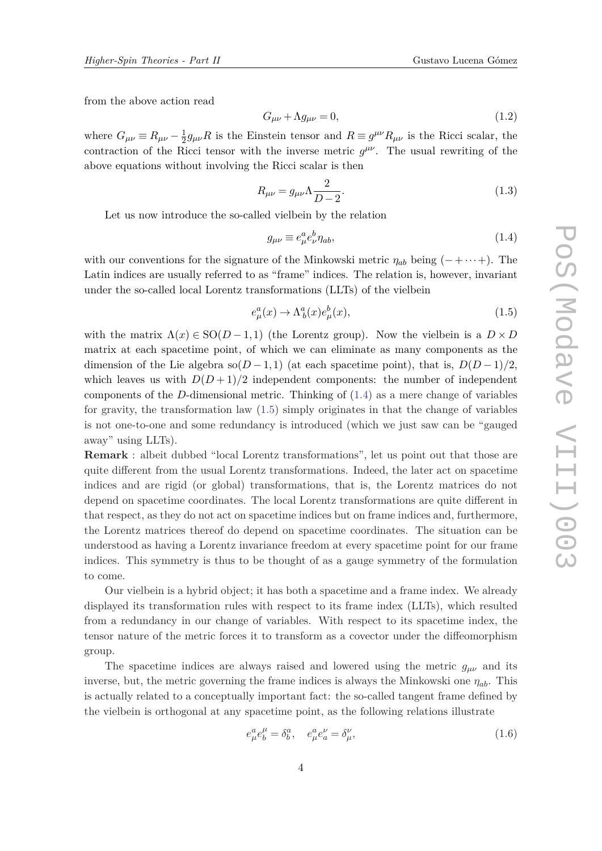<span id="page-3-0"></span>from the above action read

$$
G_{\mu\nu} + \Lambda g_{\mu\nu} = 0,\tag{1.2}
$$

where  $G_{\mu\nu} \equiv R_{\mu\nu} - \frac{1}{2}$  $\frac{1}{2}g_{\mu\nu}R$  is the Einstein tensor and  $R \equiv g^{\mu\nu}R_{\mu\nu}$  is the Ricci scalar, the contraction of the Ricci tensor with the inverse metric  $g^{\mu\nu}$ . The usual rewriting of the above equations without involving the Ricci scalar is then

$$
R_{\mu\nu} = g_{\mu\nu} \Lambda \frac{2}{D - 2}.
$$
\n(1.3)

Let us now introduce the so-called vielbein by the relation

$$
g_{\mu\nu} \equiv e^a_\mu e^b_\nu \eta_{ab},\tag{1.4}
$$

with our conventions for the signature of the Minkowski metric  $\eta_{ab}$  being ( $-\cdots$ +). The Latin indices are usually referred to as "frame" indices. The relation is, however, invariant under the so-called local Lorentz transformations (LLTs) of the vielbein

$$
e_{\mu}^{a}(x) \rightarrow \Lambda^{a}_{b}(x)e_{\mu}^{b}(x), \qquad (1.5)
$$

with the matrix  $\Lambda(x) \in SO(D-1,1)$  (the Lorentz group). Now the vielbein is a  $D \times D$ matrix at each spacetime point, of which we can eliminate as many components as the dimension of the Lie algebra so( $D-1,1$ ) (at each spacetime point), that is,  $D(D-1)/2$ , which leaves us with  $D(D+1)/2$  independent components: the number of independent components of the *D*-dimensional metric. Thinking of (1.4) as a mere change of variables for gravity, the transformation law (1.5) simply originates in that the change of variables is not one-to-one and some redundancy is introduced (which we just saw can be "gauged away" using LLTs).

**Remark** : albeit dubbed "local Lorentz transformations", let us point out that those are quite different from the usual Lorentz transformations. Indeed, the later act on spacetime indices and are rigid (or global) transformations, that is, the Lorentz matrices do not depend on spacetime coordinates. The local Lorentz transformations are quite different in that respect, as they do not act on spacetime indices but on frame indices and, furthermore, the Lorentz matrices thereof do depend on spacetime coordinates. The situation can be understood as having a Lorentz invariance freedom at every spacetime point for our frame indices. This symmetry is thus to be thought of as a gauge symmetry of the formulation to come.

Our vielbein is a hybrid object; it has both a spacetime and a frame index. We already displayed its transformation rules with respect to its frame index (LLTs), which resulted from a redundancy in our change of variables. With respect to its spacetime index, the tensor nature of the metric forces it to transform as a covector under the diffeomorphism group.

The spacetime indices are always raised and lowered using the metric  $g_{\mu\nu}$  and its inverse, but, the metric governing the frame indices is always the Minkowski one *ηab*. This is actually related to a conceptually important fact: the so-called tangent frame defined by the vielbein is orthogonal at any spacetime point, as the following relations illustrate

$$
e^a_\mu e^\mu_b = \delta^a_b, \quad e^a_\mu e^\nu_a = \delta^\nu_\mu,\tag{1.6}
$$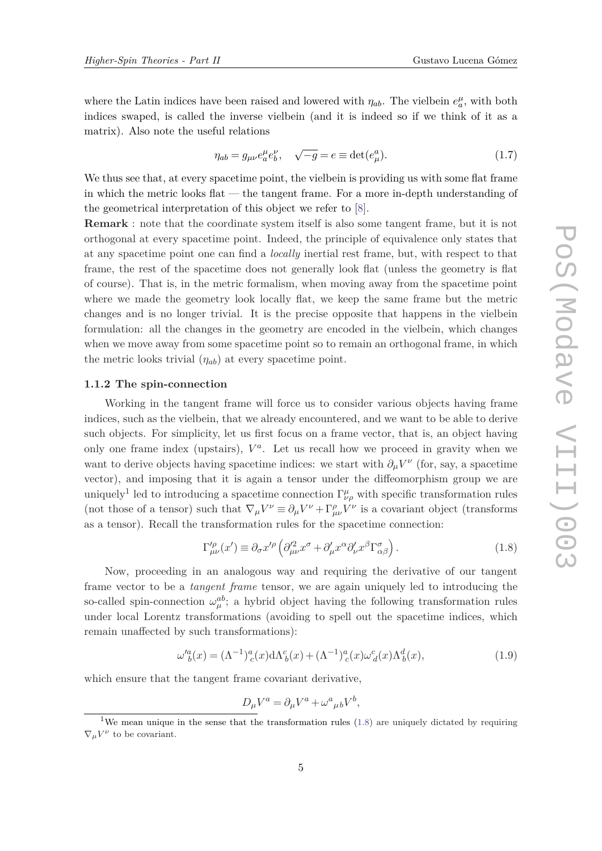<span id="page-4-0"></span>where the Latin indices have been raised and lowered with  $\eta_{ab}$ . The vielbein  $e_a^{\mu}$ , with both indices swaped, is called the inverse vielbein (and it is indeed so if we think of it as a matrix). Also note the useful relations

$$
\eta_{ab} = g_{\mu\nu} e_a^{\mu} e_b^{\nu}, \quad \sqrt{-g} = e \equiv \det(e_{\mu}^a). \tag{1.7}
$$

We thus see that, at every spacetime point, the vielbein is providing us with some flat frame in which the metric looks flat — the tangent frame. For a more in-depth understanding of the geometrical interpretation of this object we refer to [[8](#page-33-0)].

**Remark** : note that the coordinate system itself is also some tangent frame, but it is not orthogonal at every spacetime point. Indeed, the principle of equivalence only states that at any spacetime point one can find a *locally* inertial rest frame, but, with respect to that frame, the rest of the spacetime does not generally look flat (unless the geometry is flat of course). That is, in the metric formalism, when moving away from the spacetime point where we made the geometry look locally flat, we keep the same frame but the metric changes and is no longer trivial. It is the precise opposite that happens in the vielbein formulation: all the changes in the geometry are encoded in the vielbein, which changes when we move away from some spacetime point so to remain an orthogonal frame, in which the metric looks trivial (*ηab*) at every spacetime point.

#### **1.1.2 The spin-connection**

Working in the tangent frame will force us to consider various objects having frame indices, such as the vielbein, that we already encountered, and we want to be able to derive such objects. For simplicity, let us first focus on a frame vector, that is, an object having only one frame index (upstairs),  $V^a$ . Let us recall how we proceed in gravity when we want to derive objects having spacetime indices: we start with  $\partial_\mu V^\nu$  (for, say, a spacetime vector), and imposing that it is again a tensor under the diffeomorphism group we are uniquely<sup>1</sup> led to introducing a spacetime connection  $\Gamma^{\mu}_{\nu\rho}$  with specific transformation rules (not those of a tensor) such that  $\nabla_{\mu}V^{\nu} \equiv \partial_{\mu}V^{\nu} + \Gamma^{\rho}_{\mu\nu}V^{\nu}$  is a covariant object (transforms as a tensor). Recall the transformation rules for the spacetime connection:

$$
\Gamma^{\prime \rho}_{\mu \nu}(x') \equiv \partial_{\sigma} x^{\prime \rho} \left( \partial^{\prime 2}_{\mu \nu} x^{\sigma} + \partial^{\prime}_{\mu} x^{\alpha} \partial^{\prime}_{\nu} x^{\beta} \Gamma^{\sigma}_{\alpha \beta} \right). \tag{1.8}
$$

Now, proceeding in an analogous way and requiring the derivative of our tangent frame vector to be a *tangent frame* tensor, we are again uniquely led to introducing the so-called spin-connection  $\omega_{\mu}^{ab}$ ; a hybrid object having the following transformation rules under local Lorentz transformations (avoiding to spell out the spacetime indices, which remain unaffected by such transformations):

$$
\omega_{b}^{\prime a}(x) = (\Lambda^{-1})^{a}_{c}(x) d\Lambda^{c}_{b}(x) + (\Lambda^{-1})^{a}_{c}(x) \omega_{d}^{c}(x) \Lambda^{d}_{b}(x), \qquad (1.9)
$$

which ensure that the tangent frame covariant derivative,

$$
D_{\mu}V^{a} = \partial_{\mu}V^{a} + \omega^{a}{}_{\mu}{}_{b}V^{b},
$$

<sup>&</sup>lt;sup>1</sup>We mean unique in the sense that the transformation rules  $(1.8)$  are uniquely dictated by requiring  $\nabla_{\mu}V^{\nu}$  to be covariant.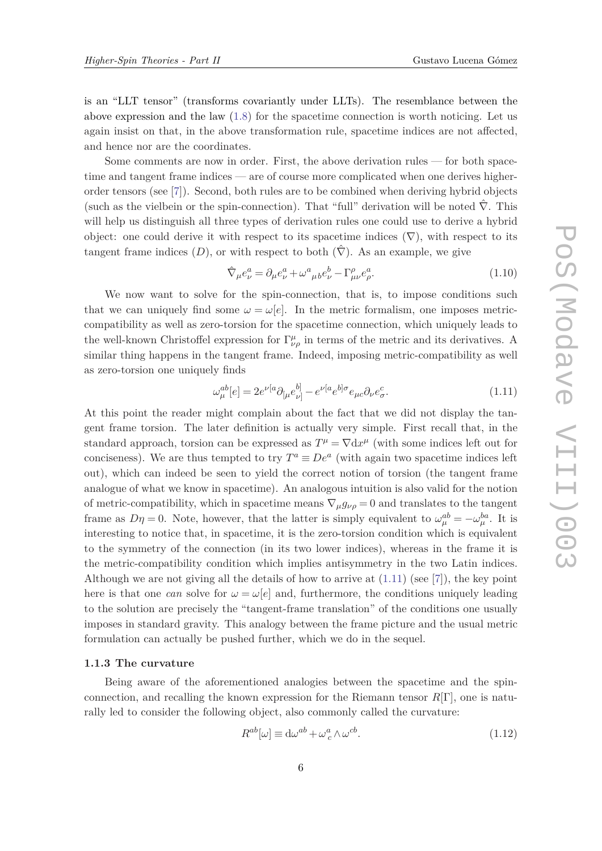<span id="page-5-0"></span>is an "LLT tensor" (transforms covariantly under LLTs). The resemblance between the above expression and the law ([1.8\)](#page-4-0) for the spacetime connection is worth noticing. Let us again insist on that, in the above transformation rule, spacetime indices are not affected, and hence nor are the coordinates.

Some comments are now in order. First, the above derivation rules — for both spacetime and tangent frame indices — are of course more complicated when one derives higherorder tensors (see [[7](#page-33-0)]). Second, both rules are to be combined when deriving hybrid objects (such as the vielbein or the spin-connection). That "full" derivation will be noted  $\hat{\nabla}$ . This will help us distinguish all three types of derivation rules one could use to derive a hybrid object: one could derive it with respect to its spacetime indices  $(\nabla)$ , with respect to its tangent frame indices  $(D)$ , or with respect to both  $(\hat{\nabla})$ . As an example, we give

$$
\hat{\nabla}_{\mu}e_{\nu}^{a} = \partial_{\mu}e_{\nu}^{a} + \omega_{\mu}^{a}{}_{b}e_{\nu}^{b} - \Gamma_{\mu\nu}^{\rho}e_{\rho}^{a}.
$$
\n(1.10)

We now want to solve for the spin-connection, that is, to impose conditions such that we can uniquely find some  $\omega = \omega[e]$ . In the metric formalism, one imposes metriccompatibility as well as zero-torsion for the spacetime connection, which uniquely leads to the well-known Christoffel expression for  $\Gamma^{\mu}_{\nu\rho}$  in terms of the metric and its derivatives. A similar thing happens in the tangent frame. Indeed, imposing metric-compatibility as well as zero-torsion one uniquely finds

$$
\omega_{\mu}^{ab}[e] = 2e^{\nu[a}\partial_{[\mu}e_{\nu]}^{b]} - e^{\nu[a}e^{b]\sigma}e_{\mu c}\partial_{\nu}e_{\sigma}^{c}.
$$
\n(1.11)

At this point the reader might complain about the fact that we did not display the tangent frame torsion. The later definition is actually very simple. First recall that, in the standard approach, torsion can be expressed as  $T^{\mu} = \nabla \mathrm{d} x^{\mu}$  (with some indices left out for conciseness). We are thus tempted to try  $T^a \equiv De^a$  (with again two spacetime indices left out), which can indeed be seen to yield the correct notion of torsion (the tangent frame analogue of what we know in spacetime). An analogous intuition is also valid for the notion of metric-compatibility, which in spacetime means  $\nabla_{\mu} g_{\nu\rho} = 0$  and translates to the tangent frame as  $D\eta = 0$ . Note, however, that the latter is simply equivalent to  $\omega_{\mu}^{ab} = -\omega_{\mu}^{ba}$ . It is interesting to notice that, in spacetime, it is the zero-torsion condition which is equivalent to the symmetry of the connection (in its two lower indices), whereas in the frame it is the metric-compatibility condition which implies antisymmetry in the two Latin indices. Although we are not giving all the details of how to arrive at  $(1.11)$  (see [\[7\]](#page-33-0)), the key point here is that one *can* solve for  $\omega = \omega[e]$  and, furthermore, the conditions uniquely leading to the solution are precisely the "tangent-frame translation" of the conditions one usually imposes in standard gravity. This analogy between the frame picture and the usual metric formulation can actually be pushed further, which we do in the sequel.

#### **1.1.3 The curvature**

Being aware of the aforementioned analogies between the spacetime and the spinconnection, and recalling the known expression for the Riemann tensor *R*[Γ], one is naturally led to consider the following object, also commonly called the curvature:

$$
R^{ab}[\omega] \equiv d\omega^{ab} + \omega_c^a \wedge \omega^{cb}.
$$
\n(1.12)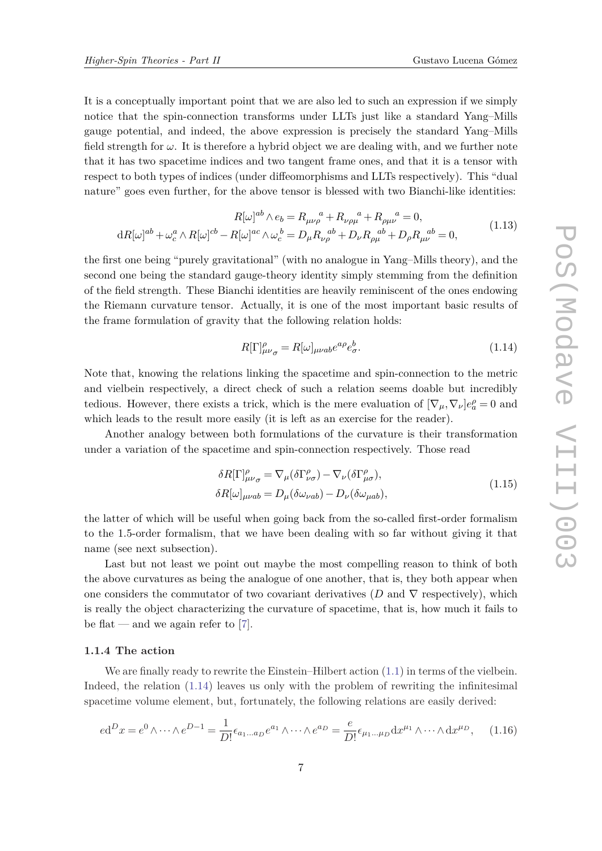<span id="page-6-0"></span>It is a conceptually important point that we are also led to such an expression if we simply notice that the spin-connection transforms under LLTs just like a standard Yang–Mills gauge potential, and indeed, the above expression is precisely the standard Yang–Mills field strength for  $\omega$ . It is therefore a hybrid object we are dealing with, and we further note that it has two spacetime indices and two tangent frame ones, and that it is a tensor with respect to both types of indices (under diffeomorphisms and LLTs respectively). This "dual nature" goes even further, for the above tensor is blessed with two Bianchi-like identities:

$$
R[\omega]^{ab} \wedge e_b = R_{\mu\nu\rho}^{\quad a} + R_{\nu\rho\mu}^{\quad a} + R_{\rho\mu\nu}^{\quad a} = 0,
$$
  

$$
dR[\omega]^{ab} + \omega_c^a \wedge R[\omega]^{cb} - R[\omega]^{ac} \wedge \omega_c^{\, b} = D_{\mu}R_{\nu\rho}^{\quad ab} + D_{\nu}R_{\rho\mu}^{\quad ab} + D_{\rho}R_{\mu\nu}^{\quad ab} = 0,
$$
\n(1.13)

the first one being "purely gravitational" (with no analogue in Yang–Mills theory), and the second one being the standard gauge-theory identity simply stemming from the definition of the field strength. These Bianchi identities are heavily reminiscent of the ones endowing the Riemann curvature tensor. Actually, it is one of the most important basic results of the frame formulation of gravity that the following relation holds:

$$
R[\Gamma]^{\rho}_{\mu\nu\sigma} = R[\omega]_{\mu\nu ab} e^{a\rho} e^b_{\sigma}.
$$
\n(1.14)

Note that, knowing the relations linking the spacetime and spin-connection to the metric and vielbein respectively, a direct check of such a relation seems doable but incredibly tedious. However, there exists a trick, which is the mere evaluation of  $[\nabla_{\mu}, \nabla_{\nu}]e^{\rho}_a = 0$  and which leads to the result more easily (it is left as an exercise for the reader).

Another analogy between both formulations of the curvature is their transformation under a variation of the spacetime and spin-connection respectively. Those read

$$
\delta R[\Gamma]^{\rho}_{\mu\nu\sigma} = \nabla_{\mu} (\delta \Gamma^{\rho}_{\nu\sigma}) - \nabla_{\nu} (\delta \Gamma^{\rho}_{\mu\sigma}),
$$
  
\n
$$
\delta R[\omega]_{\mu\nu ab} = D_{\mu} (\delta \omega_{\nu ab}) - D_{\nu} (\delta \omega_{\mu ab}),
$$
\n(1.15)

the latter of which will be useful when going back from the so-called first-order formalism to the 1*.*5-order formalism, that we have been dealing with so far without giving it that name (see next subsection).

Last but not least we point out maybe the most compelling reason to think of both the above curvatures as being the analogue of one another, that is, they both appear when one considers the commutator of two covariant derivatives ( $D$  and  $\nabla$  respectively), which is really the object characterizing the curvature of spacetime, that is, how much it fails to be flat — and we again refer to  $[7]$  $[7]$  $[7]$ .

### **1.1.4 The action**

We are finally ready to rewrite the Einstein–Hilbert action  $(1.1)$  $(1.1)$  $(1.1)$  in terms of the vielbein. Indeed, the relation (1.14) leaves us only with the problem of rewriting the infinitesimal spacetime volume element, but, fortunately, the following relations are easily derived:

$$
ed^D x = e^0 \wedge \dots \wedge e^{D-1} = \frac{1}{D!} \epsilon_{a_1 \dots a_D} e^{a_1} \wedge \dots \wedge e^{a_D} = \frac{e}{D!} \epsilon_{\mu_1 \dots \mu_D} dx^{\mu_1} \wedge \dots \wedge dx^{\mu_D}, \quad (1.16)
$$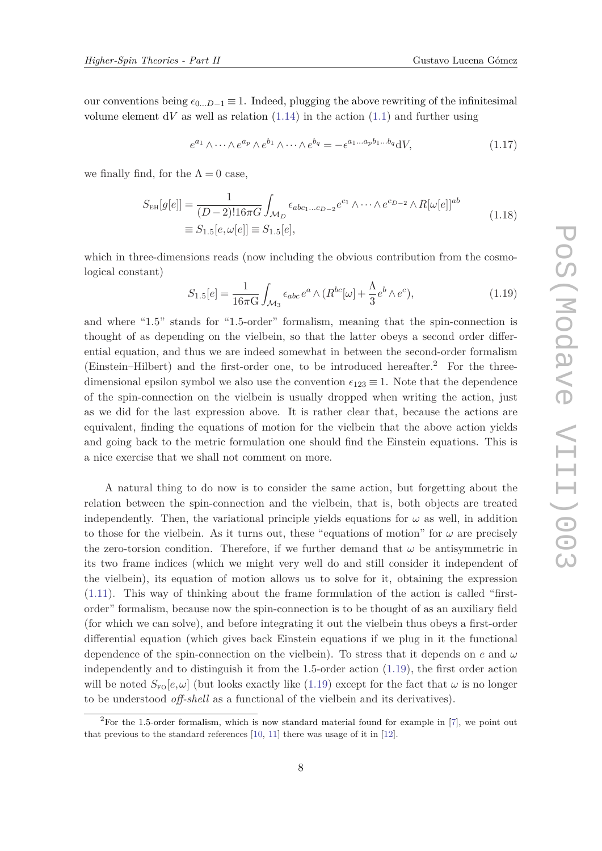<span id="page-7-0"></span>our conventions being  $\epsilon_{0...D-1} \equiv 1$ . Indeed, plugging the above rewriting of the infinitesimal volume element  $dV$  as well as relation  $(1.14)$  $(1.14)$  $(1.14)$  in the action  $(1.1)$  $(1.1)$  and further using

$$
e^{a_1} \wedge \cdots \wedge e^{a_p} \wedge e^{b_1} \wedge \cdots \wedge e^{b_q} = -\epsilon^{a_1 \ldots a_p b_1 \ldots b_q} dV,
$$
\n(1.17)

we finally find, for the  $\Lambda = 0$  case,

$$
S_{\text{EH}}[g[e]] = \frac{1}{(D-2)!16\pi G} \int_{\mathcal{M}_D} \epsilon_{abc_1...c_{D-2}} e^{c_1} \wedge \cdots \wedge e^{c_{D-2}} \wedge R[\omega[e]]^{ab}
$$
  
\n
$$
\equiv S_{1.5}[e, \omega[e]] \equiv S_{1.5}[e],
$$
\n(1.18)

which in three-dimensions reads (now including the obvious contribution from the cosmological constant)

$$
S_{1.5}[e] = \frac{1}{16\pi G} \int_{\mathcal{M}_3} \epsilon_{abc} e^a \wedge (R^{bc}[\omega] + \frac{\Lambda}{3} e^b \wedge e^c), \tag{1.19}
$$

and where "1.5" stands for "1.5-order" formalism, meaning that the spin-connection is thought of as depending on the vielbein, so that the latter obeys a second order differential equation, and thus we are indeed somewhat in between the second-order formalism (Einstein–Hilbert) and the first-order one, to be introduced hereafter.<sup>2</sup> For the threedimensional epsilon symbol we also use the convention  $\epsilon_{123} \equiv 1$ . Note that the dependence of the spin-connection on the vielbein is usually dropped when writing the action, just as we did for the last expression above. It is rather clear that, because the actions are equivalent, finding the equations of motion for the vielbein that the above action yields and going back to the metric formulation one should find the Einstein equations. This is a nice exercise that we shall not comment on more.

A natural thing to do now is to consider the same action, but forgetting about the relation between the spin-connection and the vielbein, that is, both objects are treated independently. Then, the variational principle yields equations for  $\omega$  as well, in addition to those for the vielbein. As it turns out, these "equations of motion" for  $\omega$  are precisely the zero-torsion condition. Therefore, if we further demand that  $\omega$  be antisymmetric in its two frame indices (which we might very well do and still consider it independent of the vielbein), its equation of motion allows us to solve for it, obtaining the expression ([1.11\)](#page-5-0). This way of thinking about the frame formulation of the action is called "firstorder" formalism, because now the spin-connection is to be thought of as an auxiliary field (for which we can solve), and before integrating it out the vielbein thus obeys a first-order differential equation (which gives back Einstein equations if we plug in it the functional dependence of the spin-connection on the vielbein). To stress that it depends on *e* and *ω* independently and to distinguish it from the 1.5-order action (1.19), the first order action will be noted  $S_{\text{FQ}}[e,\omega]$  (but looks exactly like (1.19) except for the fact that  $\omega$  is no longer to be understood *off-shell* as a functional of the vielbein and its derivatives).

<sup>&</sup>lt;sup>2</sup>For the 1.5-order formalism, which is now standard material found for example in  $[7]$  $[7]$ , we point out that previous to the standard references [\[10,](#page-33-0) [11\]](#page-33-0) there was usage of it in [[12\]](#page-33-0).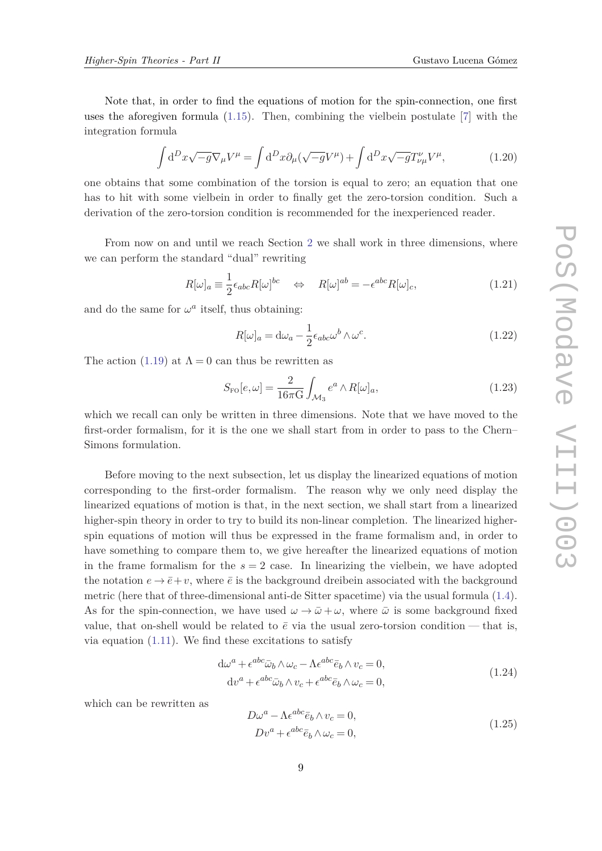<span id="page-8-0"></span>Note that, in order to find the equations of motion for the spin-connection, one first uses the aforegiven formula  $(1.15)$  $(1.15)$  $(1.15)$ . Then, combining the vielbein postulate [[7](#page-33-0)] with the integration formula

$$
\int d^D x \sqrt{-g} \nabla_\mu V^\mu = \int d^D x \partial_\mu (\sqrt{-g} V^\mu) + \int d^D x \sqrt{-g} T^\nu_{\nu\mu} V^\mu, \tag{1.20}
$$

one obtains that some combination of the torsion is equal to zero; an equation that one has to hit with some vielbein in order to finally get the zero-torsion condition. Such a derivation of the zero-torsion condition is recommended for the inexperienced reader.

From now on and until we reach Section [2](#page-17-0) we shall work in three dimensions, where we can perform the standard "dual" rewriting

$$
R[\omega]_a \equiv \frac{1}{2} \epsilon_{abc} R[\omega]^{bc} \quad \Leftrightarrow \quad R[\omega]^{ab} = -\epsilon^{abc} R[\omega]_c,\tag{1.21}
$$

and do the same for  $\omega^a$  itself, thus obtaining:

$$
R[\omega]_a = d\omega_a - \frac{1}{2} \epsilon_{abc} \omega^b \wedge \omega^c.
$$
 (1.22)

The action ([1.19](#page-7-0)) at  $\Lambda = 0$  can thus be rewritten as

$$
S_{\rm FO}[e,\omega] = \frac{2}{16\pi \text{G}} \int_{\mathcal{M}_3} e^a \wedge R[\omega]_a,\tag{1.23}
$$

which we recall can only be written in three dimensions. Note that we have moved to the first-order formalism, for it is the one we shall start from in order to pass to the Chern– Simons formulation.

Before moving to the next subsection, let us display the linearized equations of motion corresponding to the first-order formalism. The reason why we only need display the linearized equations of motion is that, in the next section, we shall start from a linearized higher-spin theory in order to try to build its non-linear completion. The linearized higherspin equations of motion will thus be expressed in the frame formalism and, in order to have something to compare them to, we give hereafter the linearized equations of motion in the frame formalism for the  $s = 2$  case. In linearizing the vielbein, we have adopted the notation  $e \rightarrow \bar{e} + v$ , where  $\bar{e}$  is the background dreibein associated with the background metric (here that of three-dimensional anti-de Sitter spacetime) via the usual formula ([1.4\)](#page-3-0). As for the spin-connection, we have used  $\omega \to \bar{\omega} + \omega$ , where  $\bar{\omega}$  is some background fixed value, that on-shell would be related to  $\bar{e}$  via the usual zero-torsion condition — that is, via equation  $(1.11)$  $(1.11)$  $(1.11)$ . We find these excitations to satisfy

$$
d\omega^{a} + \epsilon^{abc}\bar{\omega}_{b}\wedge\omega_{c} - \Lambda\epsilon^{abc}\bar{e}_{b}\wedge v_{c} = 0,
$$
  
\n
$$
dv^{a} + \epsilon^{abc}\bar{\omega}_{b}\wedge v_{c} + \epsilon^{abc}\bar{e}_{b}\wedge\omega_{c} = 0,
$$
\n(1.24)

which can be rewritten as

$$
D\omega^{a} - \Lambda \epsilon^{abc} \bar{e}_b \wedge v_c = 0,
$$
  
\n
$$
Dv^{a} + \epsilon^{abc} \bar{e}_b \wedge \omega_c = 0,
$$
\n(1.25)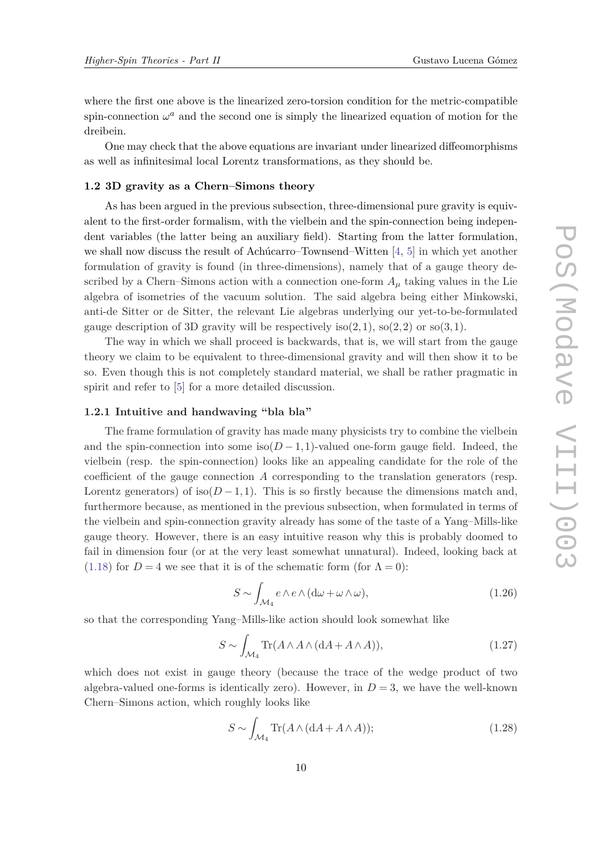where the first one above is the linearized zero-torsion condition for the metric-compatible spin-connection  $\omega^a$  and the second one is simply the linearized equation of motion for the dreibein.

One may check that the above equations are invariant under linearized diffeomorphisms as well as infinitesimal local Lorentz transformations, as they should be.

### **1.2 3D gravity as a Chern–Simons theory**

As has been argued in the previous subsection, three-dimensional pure gravity is equivalent to the first-order formalism, with the vielbein and the spin-connection being independent variables (the latter being an auxiliary field). Starting from the latter formulation, we shall now discuss the result of Achúcarro–Townsend–Witten [[4](#page-33-0), [5\]](#page-33-0) in which yet another formulation of gravity is found (in three-dimensions), namely that of a gauge theory described by a Chern–Simons action with a connection one-form  $A_\mu$  taking values in the Lie algebra of isometries of the vacuum solution. The said algebra being either Minkowski, anti-de Sitter or de Sitter, the relevant Lie algebras underlying our yet-to-be-formulated gauge description of 3D gravity will be respectively iso $(2,1)$ , so $(2,2)$  or so $(3,1)$ .

The way in which we shall proceed is backwards, that is, we will start from the gauge theory we claim to be equivalent to three-dimensional gravity and will then show it to be so. Even though this is not completely standard material, we shall be rather pragmatic in spirit and refer to [[5](#page-33-0)] for a more detailed discussion.

# **1.2.1 Intuitive and handwaving "bla bla"**

The frame formulation of gravity has made many physicists try to combine the vielbein and the spin-connection into some iso $(D-1,1)$ -valued one-form gauge field. Indeed, the vielbein (resp. the spin-connection) looks like an appealing candidate for the role of the coefficient of the gauge connection *A* corresponding to the translation generators (resp. Lorentz generators) of iso $(D-1,1)$ . This is so firstly because the dimensions match and, furthermore because, as mentioned in the previous subsection, when formulated in terms of the vielbein and spin-connection gravity already has some of the taste of a Yang–Mills-like gauge theory. However, there is an easy intuitive reason why this is probably doomed to fail in dimension four (or at the very least somewhat unnatural). Indeed, looking back at ([1.18\)](#page-7-0) for  $D = 4$  we see that it is of the schematic form (for  $\Lambda = 0$ ):

$$
S \sim \int_{\mathcal{M}_4} e \wedge e \wedge (d\omega + \omega \wedge \omega), \tag{1.26}
$$

so that the corresponding Yang–Mills-like action should look somewhat like

$$
S \sim \int_{\mathcal{M}_4} \text{Tr}(A \wedge A \wedge (dA + A \wedge A)), \tag{1.27}
$$

which does not exist in gauge theory (because the trace of the wedge product of two algebra-valued one-forms is identically zero). However, in  $D=3$ , we have the well-known Chern–Simons action, which roughly looks like

$$
S \sim \int_{\mathcal{M}_4} \text{Tr}(A \wedge (dA + A \wedge A)); \tag{1.28}
$$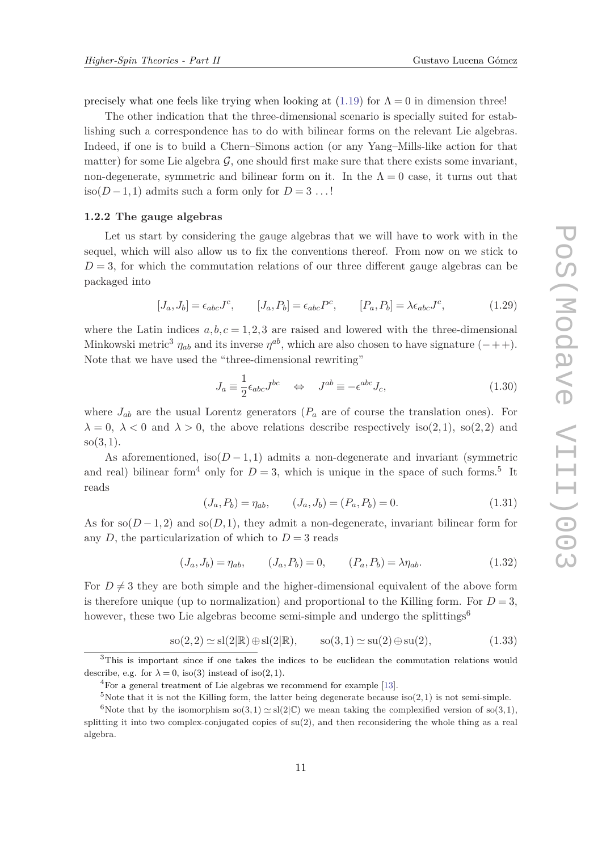<span id="page-10-0"></span>precisely what one feels like trying when looking at  $(1.19)$  $(1.19)$  $(1.19)$  for  $\Lambda = 0$  in dimension three!

The other indication that the three-dimensional scenario is specially suited for establishing such a correspondence has to do with bilinear forms on the relevant Lie algebras. Indeed, if one is to build a Chern–Simons action (or any Yang–Mills-like action for that matter) for some Lie algebra  $\mathcal{G}$ , one should first make sure that there exists some invariant, non-degenerate, symmetric and bilinear form on it. In the  $\Lambda = 0$  case, it turns out that iso( $D-1,1$ ) admits such a form only for  $D=3$ ...!

#### **1.2.2 The gauge algebras**

Let us start by considering the gauge algebras that we will have to work with in the sequel, which will also allow us to fix the conventions thereof. From now on we stick to  $D=3$ , for which the commutation relations of our three different gauge algebras can be packaged into

$$
[J_a, J_b] = \epsilon_{abc} J^c, \qquad [J_a, P_b] = \epsilon_{abc} P^c, \qquad [P_a, P_b] = \lambda \epsilon_{abc} J^c,
$$
\n
$$
(1.29)
$$

where the Latin indices  $a, b, c = 1, 2, 3$  are raised and lowered with the three-dimensional Minkowski metric<sup>3</sup>  $\eta_{ab}$  and its inverse  $\eta^{ab}$ , which are also chosen to have signature (-++). Note that we have used the "three-dimensional rewriting"

$$
J_a \equiv \frac{1}{2} \epsilon_{abc} J^{bc} \quad \Leftrightarrow \quad J^{ab} \equiv -\epsilon^{abc} J_c,\tag{1.30}
$$

where  $J_{ab}$  are the usual Lorentz generators ( $P_a$  are of course the translation ones). For  $\lambda = 0, \lambda < 0$  and  $\lambda > 0$ , the above relations describe respectively iso(2,1), so(2,2) and so(3*,*1).

As aforementioned, iso $(D-1,1)$  admits a non-degenerate and invariant (symmetric and real) bilinear form<sup>4</sup> only for  $D=3$ , which is unique in the space of such forms.<sup>5</sup> It reads

$$
(J_a, P_b) = \eta_{ab}, \qquad (J_a, J_b) = (P_a, P_b) = 0.
$$
\n(1.31)

As for  $\text{so}(D-1,2)$  and  $\text{so}(D,1)$ , they admit a non-degenerate, invariant bilinear form for any *D*, the particularization of which to  $D = 3$  reads

$$
(J_a, J_b) = \eta_{ab}, \qquad (J_a, P_b) = 0, \qquad (P_a, P_b) = \lambda \eta_{ab}.
$$
 (1.32)

For  $D \neq 3$  they are both simple and the higher-dimensional equivalent of the above form is therefore unique (up to normalization) and proportional to the Killing form. For  $D = 3$ , however, these two Lie algebras become semi-simple and undergo the splittings<sup>6</sup>

$$
so(2,2) \simeq sl(2|\mathbb{R}) \oplus sl(2|\mathbb{R}), \qquad so(3,1) \simeq su(2) \oplus su(2), \tag{1.33}
$$

<sup>3</sup>This is important since if one takes the indices to be euclidean the commutation relations would describe, e.g. for  $\lambda = 0$ , iso(3) instead of iso(2,1).

<sup>4</sup>For a general treatment of Lie algebras we recommend for example [[13](#page-33-0)].

<sup>&</sup>lt;sup>5</sup>Note that it is not the Killing form, the latter being degenerate because iso(2,1) is not semi-simple.

<sup>&</sup>lt;sup>6</sup>Note that by the isomorphism so(3,1)  $\simeq$  sl(2|C) we mean taking the complexified version of so(3,1), splitting it into two complex-conjugated copies of  $su(2)$ , and then reconsidering the whole thing as a real algebra.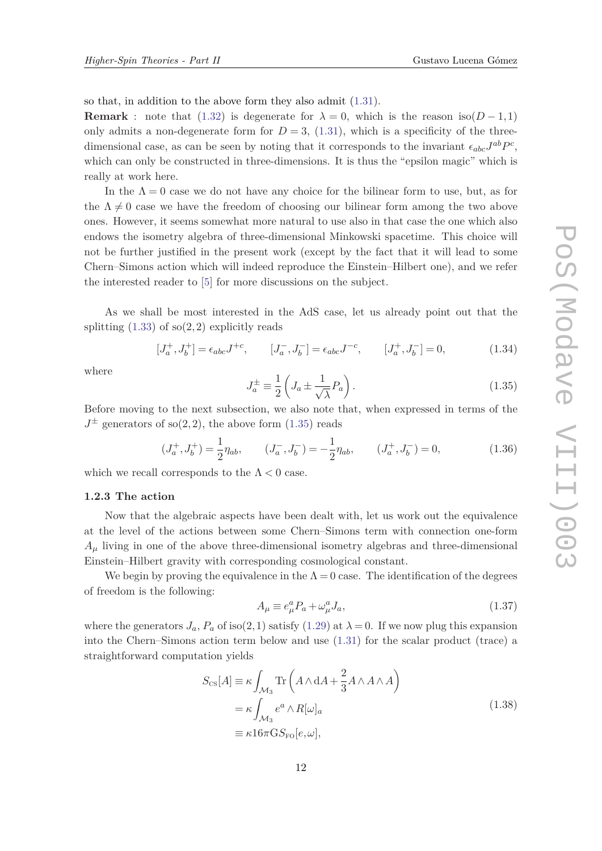<span id="page-11-0"></span>so that, in addition to the above form they also admit ([1.31\)](#page-10-0).

**Remark** : note that [\(1.32\)](#page-10-0) is degenerate for  $\lambda = 0$ , which is the reason iso( $D - 1,1$ ) only admits a non-degenerate form for  $D = 3$ , [\(1.31\)](#page-10-0), which is a specificity of the threedimensional case, as can be seen by noting that it corresponds to the invariant  $\epsilon_{abc}J^{ab}P^c$ , which can only be constructed in three-dimensions. It is thus the "epsilon magic" which is really at work here.

In the  $\Lambda = 0$  case we do not have any choice for the bilinear form to use, but, as for the  $\Lambda \neq 0$  case we have the freedom of choosing our bilinear form among the two above ones. However, it seems somewhat more natural to use also in that case the one which also endows the isometry algebra of three-dimensional Minkowski spacetime. This choice will not be further justified in the present work (except by the fact that it will lead to some Chern–Simons action which will indeed reproduce the Einstein–Hilbert one), and we refer the interested reader to [[5](#page-33-0)] for more discussions on the subject.

As we shall be most interested in the AdS case, let us already point out that the splitting  $(1.33)$  $(1.33)$  $(1.33)$  of so $(2,2)$  explicitly reads

$$
[J_a^+, J_b^+] = \epsilon_{abc} J^{+c}, \qquad [J_a^-, J_b^-] = \epsilon_{abc} J^{-c}, \qquad [J_a^+, J_b^-] = 0,\tag{1.34}
$$

where

$$
J_a^{\pm} \equiv \frac{1}{2} \left( J_a \pm \frac{1}{\sqrt{\lambda}} P_a \right). \tag{1.35}
$$

Before moving to the next subsection, we also note that, when expressed in terms of the  $J^{\pm}$  generators of so(2,2), the above form (1.35) reads

$$
(J_a^+, J_b^+) = \frac{1}{2} \eta_{ab}, \qquad (J_a^-, J_b^-) = -\frac{1}{2} \eta_{ab}, \qquad (J_a^+, J_b^-) = 0,\tag{1.36}
$$

which we recall corresponds to the  $\Lambda < 0$  case.

# **1.2.3 The action**

Now that the algebraic aspects have been dealt with, let us work out the equivalence at the level of the actions between some Chern–Simons term with connection one-form  $A<sub>u</sub>$  living in one of the above three-dimensional isometry algebras and three-dimensional Einstein–Hilbert gravity with corresponding cosmological constant.

We begin by proving the equivalence in the  $\Lambda = 0$  case. The identification of the degrees of freedom is the following:

$$
A_{\mu} \equiv e_{\mu}^{a} P_{a} + \omega_{\mu}^{a} J_{a}, \qquad (1.37)
$$

where the generators  $J_a$ ,  $P_a$  of iso(2,1) satisfy [\(1.29\)](#page-10-0) at  $\lambda = 0$ . If we now plug this expansion into the Chern–Simons action term below and use ([1.31](#page-10-0)) for the scalar product (trace) a straightforward computation yields

$$
S_{\text{CS}}[A] \equiv \kappa \int_{\mathcal{M}_3} \text{Tr}\left(A \wedge \text{d}A + \frac{2}{3} A \wedge A \wedge A\right)
$$
  
=  $\kappa \int_{\mathcal{M}_3} e^a \wedge R[\omega]_a$   

$$
\equiv \kappa 16\pi \text{G} S_{\text{FO}}[e,\omega],
$$
 (1.38)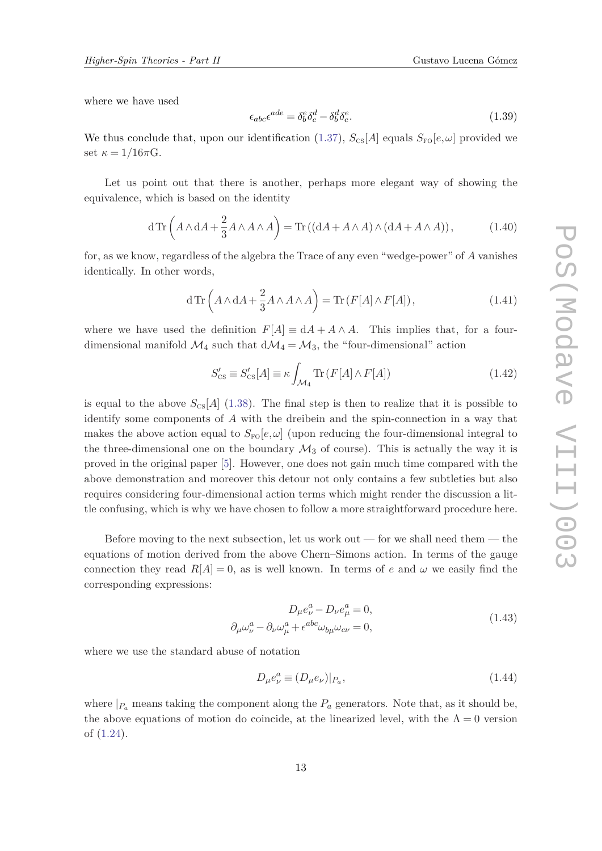<span id="page-12-0"></span>where we have used

$$
\epsilon_{abc}\epsilon^{ade} = \delta^e_b \delta^d_c - \delta^d_b \delta^e_c. \tag{1.39}
$$

We thus conclude that, upon our identification ([1.37](#page-11-0)),  $S_{\text{CS}}[A]$  equals  $S_{\text{FO}}[e,\omega]$  provided we set  $\kappa = 1/16\pi G$ .

Let us point out that there is another, perhaps more elegant way of showing the equivalence, which is based on the identity

$$
d\operatorname{Tr}\left(A\wedge dA + \frac{2}{3}A\wedge A\wedge A\right) = \operatorname{Tr}\left((dA + A\wedge A)\wedge (dA + A\wedge A)\right),\tag{1.40}
$$

for, as we know, regardless of the algebra the Trace of any even "wedge-power" of *A* vanishes identically. In other words,

$$
d\operatorname{Tr}\left(A\wedge dA + \frac{2}{3}A\wedge A\wedge A\right) = \operatorname{Tr}\left(F[A]\wedge F[A]\right),\tag{1.41}
$$

where we have used the definition  $F[A] \equiv dA + A \wedge A$ . This implies that, for a fourdimensional manifold  $\mathcal{M}_4$  such that  $d\mathcal{M}_4 = \mathcal{M}_3$ , the "four-dimensional" action

$$
S'_{\rm CS} \equiv S'_{\rm CS}[A] \equiv \kappa \int_{\mathcal{M}_4} \text{Tr}\left(F[A] \wedge F[A]\right) \tag{1.42}
$$

is equal to the above  $S_{\text{CS}}[A]$  [\(1.38](#page-11-0)). The final step is then to realize that it is possible to identify some components of *A* with the dreibein and the spin-connection in a way that makes the above action equal to  $S_{\text{FO}}[e,\omega]$  (upon reducing the four-dimensional integral to the three-dimensional one on the boundary  $\mathcal{M}_3$  of course). This is actually the way it is proved in the original paper [\[5\]](#page-33-0). However, one does not gain much time compared with the above demonstration and moreover this detour not only contains a few subtleties but also requires considering four-dimensional action terms which might render the discussion a little confusing, which is why we have chosen to follow a more straightforward procedure here.

Before moving to the next subsection, let us work out — for we shall need them — the equations of motion derived from the above Chern–Simons action. In terms of the gauge connection they read  $R[A] = 0$ , as is well known. In terms of *e* and  $\omega$  we easily find the corresponding expressions:

$$
D_{\mu}e_{\nu}^{a} - D_{\nu}e_{\mu}^{a} = 0,
$$
  
\n
$$
\partial_{\mu}\omega_{\nu}^{a} - \partial_{\nu}\omega_{\mu}^{a} + \epsilon^{abc}\omega_{b\mu}\omega_{c\nu} = 0,
$$
\n(1.43)

where we use the standard abuse of notation

$$
D_{\mu}e_{\nu}^{a} \equiv (D_{\mu}e_{\nu})|_{P_{a}},\tag{1.44}
$$

where  $|P_a|$  means taking the component along the  $P_a$  generators. Note that, as it should be, the above equations of motion do coincide, at the linearized level, with the  $\Lambda = 0$  version of ([1.24](#page-8-0)).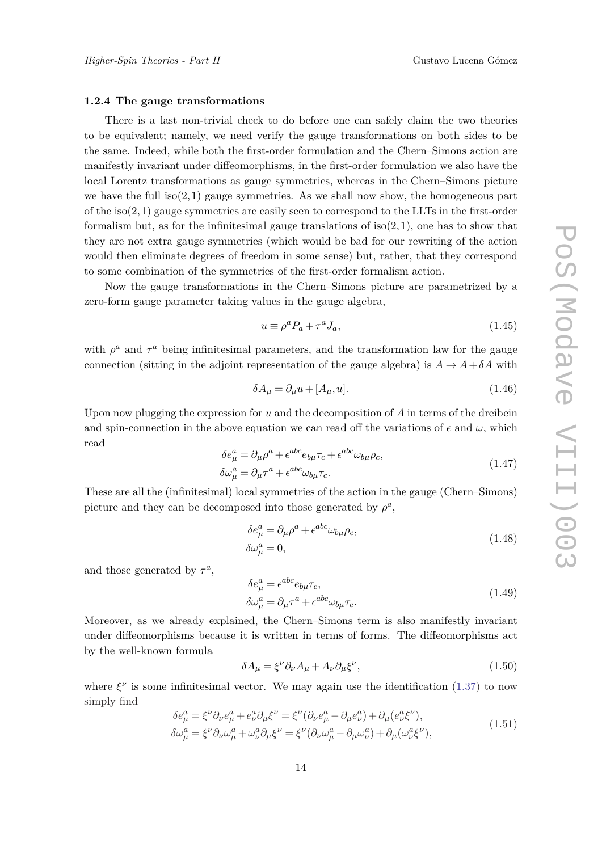#### <span id="page-13-0"></span>**1.2.4 The gauge transformations**

There is a last non-trivial check to do before one can safely claim the two theories to be equivalent; namely, we need verify the gauge transformations on both sides to be the same. Indeed, while both the first-order formulation and the Chern–Simons action are manifestly invariant under diffeomorphisms, in the first-order formulation we also have the local Lorentz transformations as gauge symmetries, whereas in the Chern–Simons picture we have the full  $iso(2,1)$  gauge symmetries. As we shall now show, the homogeneous part of the iso(2*,*1) gauge symmetries are easily seen to correspond to the LLTs in the first-order formalism but, as for the infinitesimal gauge translations of iso(2*,*1), one has to show that they are not extra gauge symmetries (which would be bad for our rewriting of the action would then eliminate degrees of freedom in some sense) but, rather, that they correspond to some combination of the symmetries of the first-order formalism action.

Now the gauge transformations in the Chern–Simons picture are parametrized by a zero-form gauge parameter taking values in the gauge algebra,

$$
u \equiv \rho^a P_a + \tau^a J_a,\tag{1.45}
$$

with  $\rho^a$  and  $\tau^a$  being infinitesimal parameters, and the transformation law for the gauge connection (sitting in the adjoint representation of the gauge algebra) is  $A \rightarrow A + \delta A$  with

$$
\delta A_{\mu} = \partial_{\mu} u + [A_{\mu}, u]. \tag{1.46}
$$

Upon now plugging the expression for *u* and the decomposition of *A* in terms of the dreibein and spin-connection in the above equation we can read off the variations of  $e$  and  $\omega$ , which read

$$
\delta e^a_\mu = \partial_\mu \rho^a + \epsilon^{abc} e_{b\mu} \tau_c + \epsilon^{abc} \omega_{b\mu} \rho_c,
$$
  
\n
$$
\delta \omega^a_\mu = \partial_\mu \tau^a + \epsilon^{abc} \omega_{b\mu} \tau_c.
$$
\n(1.47)

These are all the (infinitesimal) local symmetries of the action in the gauge (Chern–Simons) picture and they can be decomposed into those generated by  $\rho^a$ ,

$$
\delta e^a_\mu = \partial_\mu \rho^a + \epsilon^{abc} \omega_{b\mu} \rho_c,
$$
  
\n
$$
\delta \omega^a_\mu = 0,
$$
\n(1.48)

and those generated by  $\tau^a$ ,

$$
\delta e^a_\mu = \epsilon^{abc} e_{b\mu} \tau_c,
$$
  
\n
$$
\delta \omega^a_\mu = \partial_\mu \tau^a + \epsilon^{abc} \omega_{b\mu} \tau_c.
$$
\n(1.49)

Moreover, as we already explained, the Chern–Simons term is also manifestly invariant under diffeomorphisms because it is written in terms of forms. The diffeomorphisms act by the well-known formula

$$
\delta A_{\mu} = \xi^{\nu} \partial_{\nu} A_{\mu} + A_{\nu} \partial_{\mu} \xi^{\nu},\tag{1.50}
$$

where  $\xi^{\nu}$  is some infinitesimal vector. We may again use the identification [\(1.37\)](#page-11-0) to now simply find

$$
\delta e^a_\mu = \xi^\nu \partial_\nu e^a_\mu + e^a_\nu \partial_\mu \xi^\nu = \xi^\nu (\partial_\nu e^a_\mu - \partial_\mu e^a_\nu) + \partial_\mu (e^a_\nu \xi^\nu),
$$
  
\n
$$
\delta \omega^a_\mu = \xi^\nu \partial_\nu \omega^a_\mu + \omega^a_\nu \partial_\mu \xi^\nu = \xi^\nu (\partial_\nu \omega^a_\mu - \partial_\mu \omega^a_\nu) + \partial_\mu (\omega^a_\nu \xi^\nu),
$$
\n(1.51)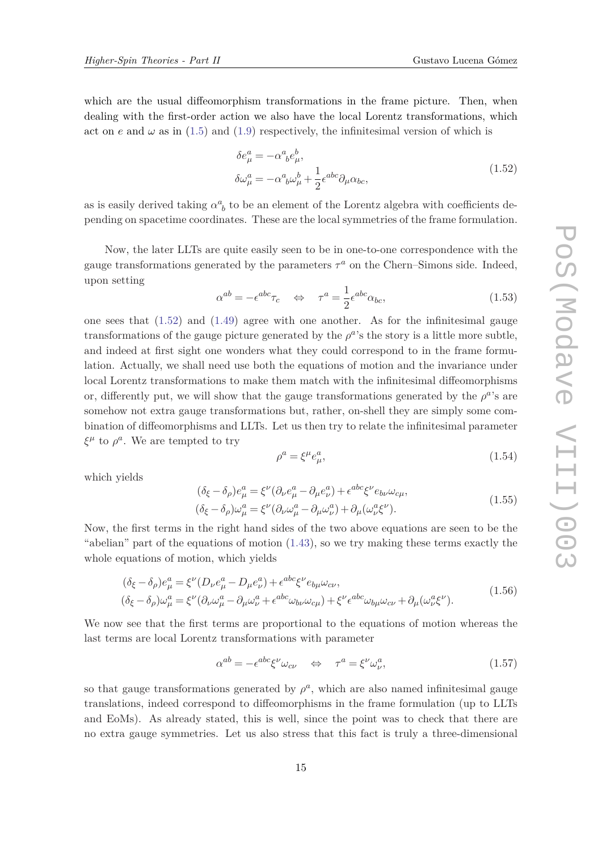which are the usual diffeomorphism transformations in the frame picture. Then, when dealing with the first-order action we also have the local Lorentz transformations, which act on *e* and  $\omega$  as in ([1.5\)](#page-3-0) and [\(1.9\)](#page-4-0) respectively, the infinitesimal version of which is

$$
\delta e^a_\mu = -\alpha^a{}_b e^b_\mu,
$$
  
\n
$$
\delta \omega^a_\mu = -\alpha^a{}_b \omega^b_\mu + \frac{1}{2} \epsilon^{abc} \partial_\mu \alpha_{bc},
$$
\n(1.52)

as is easily derived taking  $\alpha^a_{\ b}$  to be an element of the Lorentz algebra with coefficients depending on spacetime coordinates. These are the local symmetries of the frame formulation.

Now, the later LLTs are quite easily seen to be in one-to-one correspondence with the gauge transformations generated by the parameters  $\tau^a$  on the Chern–Simons side. Indeed, upon setting

$$
\alpha^{ab} = -\epsilon^{abc}\tau_c \quad \Leftrightarrow \quad \tau^a = \frac{1}{2}\epsilon^{abc}\alpha_{bc},\tag{1.53}
$$

one sees that  $(1.52)$  and  $(1.49)$  agree with one another. As for the infinitesimal gauge transformations of the gauge picture generated by the  $\rho^{a}$ 's the story is a little more subtle, and indeed at first sight one wonders what they could correspond to in the frame formulation. Actually, we shall need use both the equations of motion and the invariance under local Lorentz transformations to make them match with the infinitesimal diffeomorphisms or, differently put, we will show that the gauge transformations generated by the  $\rho^{a}$ 's are somehow not extra gauge transformations but, rather, on-shell they are simply some combination of diffeomorphisms and LLTs. Let us then try to relate the infinitesimal parameter  $\xi^{\mu}$  to  $\rho^{a}$ . We are tempted to try

$$
\rho^a = \xi^\mu e^a_\mu,\tag{1.54}
$$

which yields

$$
(\delta_{\xi} - \delta_{\rho})e_{\mu}^{a} = \xi^{\nu}(\partial_{\nu}e_{\mu}^{a} - \partial_{\mu}e_{\nu}^{a}) + \epsilon^{abc}\xi^{\nu}e_{b\nu}\omega_{c\mu},
$$
  
\n
$$
(\delta_{\xi} - \delta_{\rho})\omega_{\mu}^{a} = \xi^{\nu}(\partial_{\nu}\omega_{\mu}^{a} - \partial_{\mu}\omega_{\nu}^{a}) + \partial_{\mu}(\omega_{\nu}^{a}\xi^{\nu}).
$$
\n(1.55)

Now, the first terms in the right hand sides of the two above equations are seen to be the "abelian" part of the equations of motion ([1.43](#page-12-0)), so we try making these terms exactly the whole equations of motion, which yields

$$
(\delta_{\xi} - \delta_{\rho})e_{\mu}^{a} = \xi^{\nu}(D_{\nu}e_{\mu}^{a} - D_{\mu}e_{\nu}^{a}) + \epsilon^{abc}\xi^{\nu}e_{b\mu}\omega_{c\nu},
$$
  
\n
$$
(\delta_{\xi} - \delta_{\rho})\omega_{\mu}^{a} = \xi^{\nu}(\partial_{\nu}\omega_{\mu}^{a} - \partial_{\mu}\omega_{\nu}^{a} + \epsilon^{abc}\omega_{b\nu}\omega_{c\mu}) + \xi^{\nu}\epsilon^{abc}\omega_{b\mu}\omega_{c\nu} + \partial_{\mu}(\omega_{\nu}^{a}\xi^{\nu}).
$$
\n(1.56)

We now see that the first terms are proportional to the equations of motion whereas the last terms are local Lorentz transformations with parameter

$$
\alpha^{ab} = -\epsilon^{abc}\xi^{\nu}\omega_{c\nu} \quad \Leftrightarrow \quad \tau^a = \xi^{\nu}\omega_{\nu}^a,\tag{1.57}
$$

so that gauge transformations generated by  $\rho^a$ , which are also named infinitesimal gauge translations, indeed correspond to diffeomorphisms in the frame formulation (up to LLTs and EoMs). As already stated, this is well, since the point was to check that there are no extra gauge symmetries. Let us also stress that this fact is truly a three-dimensional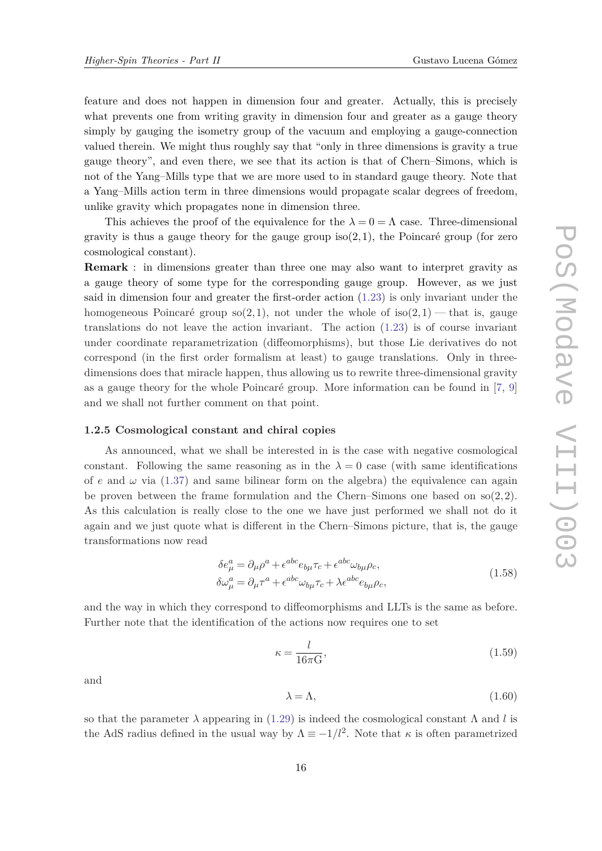feature and does not happen in dimension four and greater. Actually, this is precisely what prevents one from writing gravity in dimension four and greater as a gauge theory simply by gauging the isometry group of the vacuum and employing a gauge-connection valued therein. We might thus roughly say that "only in three dimensions is gravity a true gauge theory", and even there, we see that its action is that of Chern–Simons, which is not of the Yang–Mills type that we are more used to in standard gauge theory. Note that a Yang–Mills action term in three dimensions would propagate scalar degrees of freedom, unlike gravity which propagates none in dimension three.

This achieves the proof of the equivalence for the  $\lambda = 0 = \Lambda$  case. Three-dimensional gravity is thus a gauge theory for the gauge group iso(2*,*1), the Poincaré group (for zero cosmological constant).

**Remark** : in dimensions greater than three one may also want to interpret gravity as a gauge theory of some type for the corresponding gauge group. However, as we just said in dimension four and greater the first-order action ([1.23](#page-8-0)) is only invariant under the homogeneous Poincaré group  $\text{so}(2,1)$ , not under the whole of  $\text{iso}(2,1)$  — that is, gauge translations do not leave the action invariant. The action ([1.23\)](#page-8-0) is of course invariant under coordinate reparametrization (diffeomorphisms), but those Lie derivatives do not correspond (in the first order formalism at least) to gauge translations. Only in threedimensions does that miracle happen, thus allowing us to rewrite three-dimensional gravity as a gauge theory for the whole Poincaré group. More information can be found in [[7](#page-33-0), [9\]](#page-33-0) and we shall not further comment on that point.

#### **1.2.5 Cosmological constant and chiral copies**

As announced, what we shall be interested in is the case with negative cosmological constant. Following the same reasoning as in the  $\lambda = 0$  case (with same identifications of  $e$  and  $\omega$  via ([1.37](#page-11-0)) and same bilinear form on the algebra) the equivalence can again be proven between the frame formulation and the Chern–Simons one based on so(2*,*2). As this calculation is really close to the one we have just performed we shall not do it again and we just quote what is different in the Chern–Simons picture, that is, the gauge transformations now read

$$
\delta e^a_\mu = \partial_\mu \rho^a + \epsilon^{abc} e_{b\mu} \tau_c + \epsilon^{abc} \omega_{b\mu} \rho_c,
$$
  
\n
$$
\delta \omega^a_\mu = \partial_\mu \tau^a + \epsilon^{abc} \omega_{b\mu} \tau_c + \lambda \epsilon^{abc} e_{b\mu} \rho_c,
$$
\n(1.58)

and the way in which they correspond to diffeomorphisms and LLTs is the same as before. Further note that the identification of the actions now requires one to set

$$
\kappa = \frac{l}{16\pi \mathcal{G}},\tag{1.59}
$$

and

$$
\lambda = \Lambda,\tag{1.60}
$$

so that the parameter  $\lambda$  appearing in ([1.29](#page-10-0)) is indeed the cosmological constant  $\Lambda$  and *l* is the AdS radius defined in the usual way by  $\Lambda \equiv -1/l^2$ . Note that  $\kappa$  is often parametrized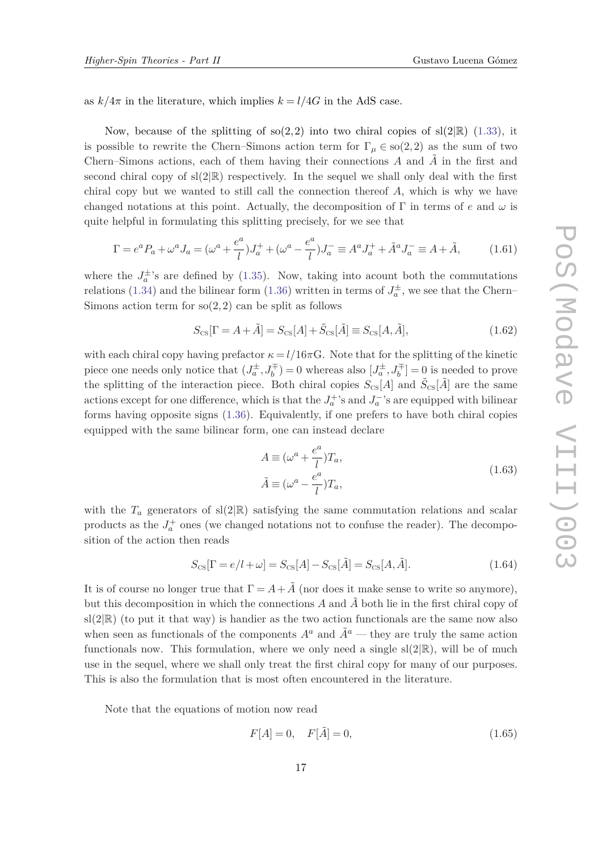<span id="page-16-0"></span>as  $k/4\pi$  in the literature, which implies  $k = l/4G$  in the AdS case.

Now, because of the splitting of so(2,2) into two chiral copies of  $sl(2|\mathbb{R})$  ([1.33\)](#page-10-0), it is possible to rewrite the Chern–Simons action term for  $\Gamma_{\mu} \in so(2,2)$  as the sum of two Chern–Simons actions, each of them having their connections *A* and *A*˜ in the first and second chiral copy of  $sl(2|\mathbb{R})$  respectively. In the sequel we shall only deal with the first chiral copy but we wanted to still call the connection thereof *A*, which is why we have changed notations at this point. Actually, the decomposition of  $\Gamma$  in terms of *e* and  $\omega$  is quite helpful in formulating this splitting precisely, for we see that

$$
\Gamma = e^{a} P_{a} + \omega^{a} J_{a} = (\omega^{a} + \frac{e^{a}}{l}) J_{a}^{+} + (\omega^{a} - \frac{e^{a}}{l}) J_{a}^{-} \equiv A^{a} J_{a}^{+} + \tilde{A}^{a} J_{a}^{-} \equiv A + \tilde{A}, \qquad (1.61)
$$

where the  $J_a^{\pm}$ 's are defined by [\(1.35\)](#page-11-0). Now, taking into acount both the commutations relations [\(1.34\)](#page-11-0) and the bilinear form ([1.36\)](#page-11-0) written in terms of  $J_a^{\pm}$ , we see that the Chern– Simons action term for  $\mathfrak{so}(2,2)$  can be split as follows

$$
S_{\text{CS}}[\Gamma = A + \tilde{A}] = S_{\text{CS}}[A] + \tilde{S}_{\text{CS}}[\tilde{A}] \equiv S_{\text{CS}}[A, \tilde{A}], \qquad (1.62)
$$

with each chiral copy having prefactor  $\kappa = l/16\pi G$ . Note that for the splitting of the kinetic piece one needs only notice that  $(J_a^{\pm}, J_b^{\mp}) = 0$  whereas also  $[J_a^{\pm}, J_b^{\mp}] = 0$  is needed to prove the splitting of the interaction piece. Both chiral copies  $S_{\text{CS}}[A]$  and  $\tilde{S}_{\text{CS}}[\tilde{A}]$  are the same actions except for one difference, which is that the  $J_a^+$ 's and  $J_a^-$ 's are equipped with bilinear forms having opposite signs ([1.36](#page-11-0)). Equivalently, if one prefers to have both chiral copies equipped with the same bilinear form, one can instead declare

$$
A \equiv (\omega^a + \frac{e^a}{l})T_a,
$$
  
\n
$$
\tilde{A} \equiv (\omega^a - \frac{e^a}{l})T_a,
$$
\n(1.63)

with the  $T_a$  generators of sl(2|R) satisfying the same commutation relations and scalar products as the  $J_a^+$  ones (we changed notations not to confuse the reader). The decomposition of the action then reads

$$
S_{\text{CS}}[\Gamma = e/l + \omega] = S_{\text{CS}}[A] - S_{\text{CS}}[\tilde{A}] = S_{\text{CS}}[A, \tilde{A}].
$$
\n(1.64)

It is of course no longer true that  $\Gamma = A + \tilde{A}$  (nor does it make sense to write so anymore), but this decomposition in which the connections  $A$  and  $\tilde{A}$  both lie in the first chiral copy of  $sl(2|\mathbb{R})$  (to put it that way) is handier as the two action functionals are the same now also when seen as functionals of the components  $A^a$  and  $\tilde{A}^a$  — they are truly the same action functionals now. This formulation, where we only need a single  $sl(2|\mathbb{R})$ , will be of much use in the sequel, where we shall only treat the first chiral copy for many of our purposes. This is also the formulation that is most often encountered in the literature.

Note that the equations of motion now read

$$
F[A] = 0, \quad F[\tilde{A}] = 0,\tag{1.65}
$$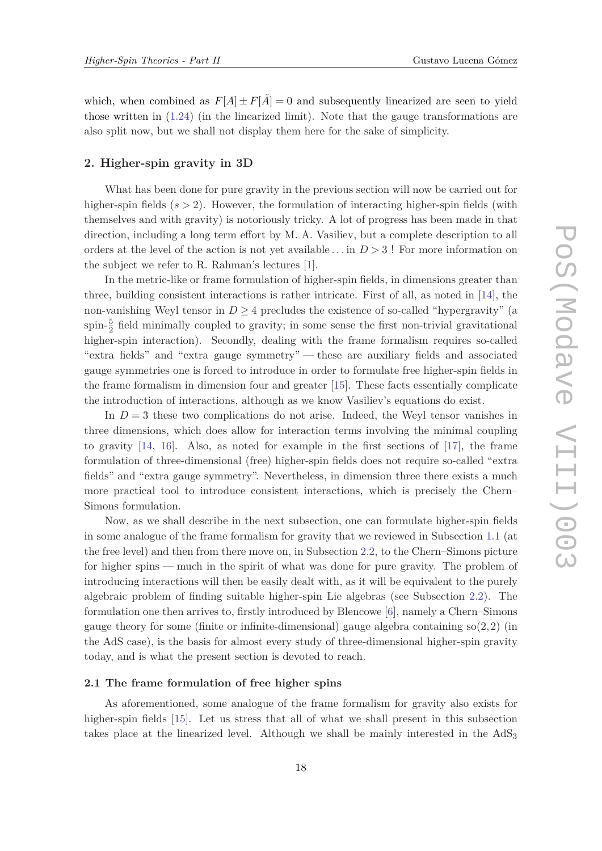<span id="page-17-0"></span>which, when combined as  $F[A] \pm F[\tilde{A}] = 0$  and subsequently linearized are seen to yield those written in  $(1.24)$  (in the linearized limit). Note that the gauge transformations are also split now, but we shall not display them here for the sake of simplicity.

# **2. Higher-spin gravity in 3D**

What has been done for pure gravity in the previous section will now be carried out for higher-spin fields ( $s > 2$ ). However, the formulation of interacting higher-spin fields (with themselves and with gravity) is notoriously tricky. A lot of progress has been made in that direction, including a long term effort by M. A. Vasiliev, but a complete description to all orders at the level of the action is not yet available . . . in *D >* 3 ! For more information on the subject we refer to R. Rahman's lectures [\[1\]](#page-33-0).

In the metric-like or frame formulation of higher-spin fields, in dimensions greater than three, building consistent interactions is rather intricate. First of all, as noted in [[14\]](#page-33-0), the non-vanishing Weyl tensor in  $D \geq 4$  precludes the existence of so-called "hypergravity" (a spin- $\frac{5}{2}$  field minimally coupled to gravity; in some sense the first non-trivial gravitational higher-spin interaction). Secondly, dealing with the frame formalism requires so-called "extra fields" and "extra gauge symmetry" — these are auxiliary fields and associated gauge symmetries one is forced to introduce in order to formulate free higher-spin fields in the frame formalism in dimension four and greater [\[15](#page-34-0)]. These facts essentially complicate the introduction of interactions, although as we know Vasiliev's equations do exist.

In  $D = 3$  these two complications do not arise. Indeed, the Weyl tensor vanishes in three dimensions, which does allow for interaction terms involving the minimal coupling to gravity [[14,](#page-33-0) [16\]](#page-34-0). Also, as noted for example in the first sections of [[17\]](#page-34-0), the frame formulation of three-dimensional (free) higher-spin fields does not require so-called "extra fields" and "extra gauge symmetry". Nevertheless, in dimension three there exists a much more practical tool to introduce consistent interactions, which is precisely the Chern– Simons formulation.

Now, as we shall describe in the next subsection, one can formulate higher-spin fields in some analogue of the frame formalism for gravity that we reviewed in Subsection [1.1](#page-2-0) (at the free level) and then from there move on, in Subsection [2.2,](#page-22-0) to the Chern–Simons picture for higher spins — much in the spirit of what was done for pure gravity. The problem of introducing interactions will then be easily dealt with, as it will be equivalent to the purely algebraic problem of finding suitable higher-spin Lie algebras (see Subsection [2.2](#page-22-0)). The formulation one then arrives to, firstly introduced by Blencowe [\[6\]](#page-33-0), namely a Chern–Simons gauge theory for some (finite or infinite-dimensional) gauge algebra containing so(2*,*2) (in the AdS case), is the basis for almost every study of three-dimensional higher-spin gravity today, and is what the present section is devoted to reach.

# **2.1 The frame formulation of free higher spins**

As aforementioned, some analogue of the frame formalism for gravity also exists for higher-spin fields [\[15](#page-34-0)]. Let us stress that all of what we shall present in this subsection takes place at the linearized level. Although we shall be mainly interested in the  $AdS_3$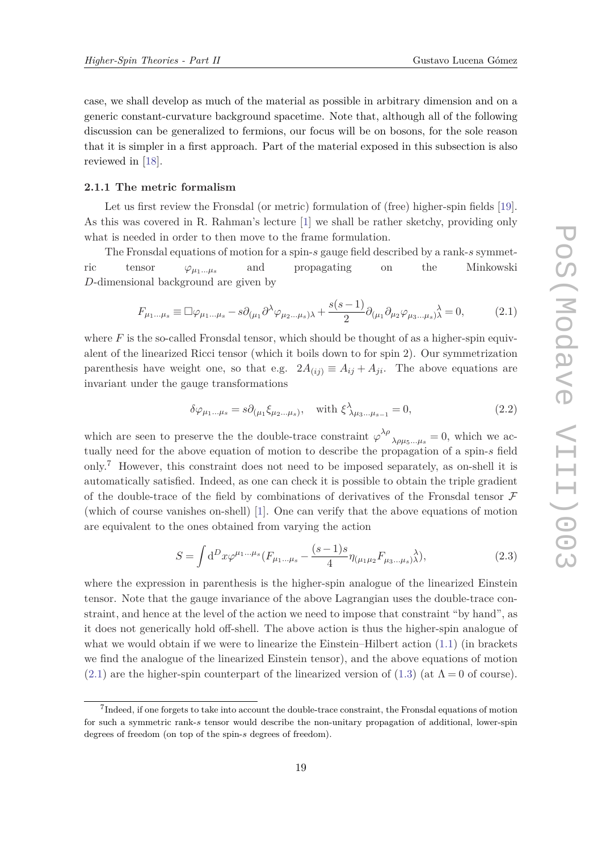<span id="page-18-0"></span>case, we shall develop as much of the material as possible in arbitrary dimension and on a generic constant-curvature background spacetime. Note that, although all of the following discussion can be generalized to fermions, our focus will be on bosons, for the sole reason that it is simpler in a first approach. Part of the material exposed in this subsection is also reviewed in [[18\]](#page-34-0).

# **2.1.1 The metric formalism**

Let us first review the Fronsdal (or metric) formulation of (free) higher-spin fields [[19\]](#page-34-0). As this was covered in R. Rahman's lecture [[1](#page-33-0)] we shall be rather sketchy, providing only what is needed in order to then move to the frame formulation.

The Fronsdal equations of motion for a spin-*s* gauge field described by a rank-*s* symmetric tensor  $\varphi_{\mu_1...\mu_s}$  and propagating on the Minkowski *D*-dimensional background are given by

$$
F_{\mu_1...\mu_s} \equiv \Box \varphi_{\mu_1...\mu_s} - s \partial_{(\mu_1} \partial^{\lambda} \varphi_{\mu_2...\mu_s)\lambda} + \frac{s(s-1)}{2} \partial_{(\mu_1} \partial_{\mu_2} \varphi_{\mu_3...\mu_s)\lambda}^{\lambda} = 0, \tag{2.1}
$$

where  $F$  is the so-called Fronsdal tensor, which should be thought of as a higher-spin equivalent of the linearized Ricci tensor (which it boils down to for spin 2). Our symmetrization parenthesis have weight one, so that e.g.  $2A_{(ij)} \equiv A_{ij} + A_{ji}$ . The above equations are invariant under the gauge transformations

$$
\delta\varphi_{\mu_1\ldots\mu_s} = s\partial_{(\mu_1}\xi_{\mu_2\ldots\mu_s)}, \quad \text{with } \xi^{\lambda}_{\lambda\mu_3\ldots\mu_{s-1}} = 0,
$$
\n(2.2)

which are seen to preserve the the double-trace constraint  $\varphi^{\lambda \rho}$  $\lambda \rho \mu_5...\mu_s = 0$ , which we actually need for the above equation of motion to describe the propagation of a spin-*s* field only.<sup>7</sup> However, this constraint does not need to be imposed separately, as on-shell it is automatically satisfied. Indeed, as one can check it is possible to obtain the triple gradient of the double-trace of the field by combinations of derivatives of the Fronsdal tensor  $\mathcal F$ (which of course vanishes on-shell) [[1](#page-33-0)]. One can verify that the above equations of motion are equivalent to the ones obtained from varying the action

$$
S = \int d^D x \varphi^{\mu_1 \dots \mu_s} (F_{\mu_1 \dots \mu_s} - \frac{(s-1)s}{4} \eta_{(\mu_1 \mu_2} F_{\mu_3 \dots \mu_s)} \lambda), \tag{2.3}
$$

where the expression in parenthesis is the higher-spin analogue of the linearized Einstein tensor. Note that the gauge invariance of the above Lagrangian uses the double-trace constraint, and hence at the level of the action we need to impose that constraint "by hand", as it does not generically hold off-shell. The above action is thus the higher-spin analogue of what we would obtain if we were to linearize the Einstein–Hilbert action  $(1.1)$  $(1.1)$  $(1.1)$  (in brackets we find the analogue of the linearized Einstein tensor), and the above equations of motion (2.1) are the higher-spin counterpart of the linearized version of ([1.3](#page-3-0)) (at  $\Lambda = 0$  of course).

 $<sup>7</sup>$ Indeed, if one forgets to take into account the double-trace constraint, the Fronsdal equations of motion</sup> for such a symmetric rank-*s* tensor would describe the non-unitary propagation of additional, lower-spin degrees of freedom (on top of the spin-*s* degrees of freedom).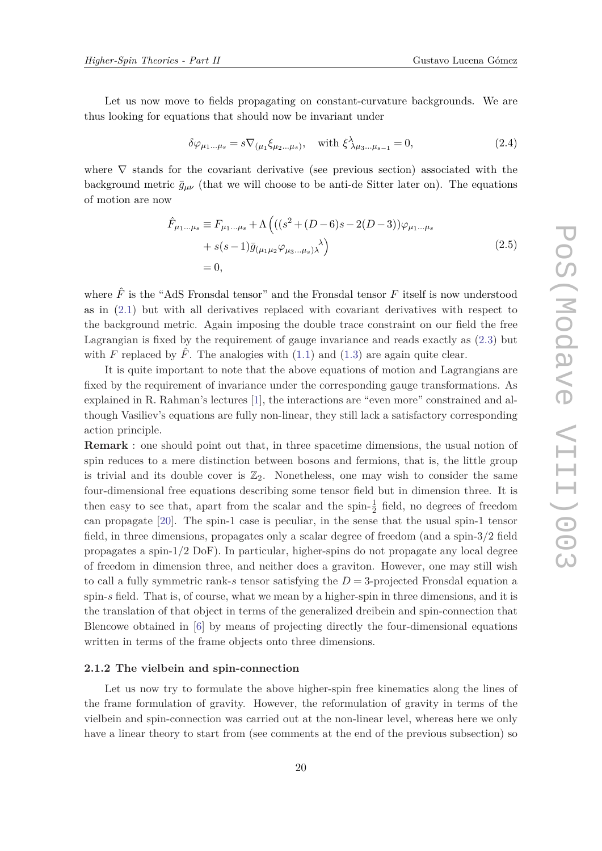<span id="page-19-0"></span>Let us now move to fields propagating on constant-curvature backgrounds. We are thus looking for equations that should now be invariant under

$$
\delta\varphi_{\mu_1\ldots\mu_s} = s\nabla_{(\mu_1}\xi_{\mu_2\ldots\mu_s)}, \quad \text{with } \xi^{\lambda}_{\lambda\mu_3\ldots\mu_{s-1}} = 0,
$$
\n(2.4)

where  $\nabla$  stands for the covariant derivative (see previous section) associated with the background metric  $\bar{g}_{\mu\nu}$  (that we will choose to be anti-de Sitter later on). The equations of motion are now

$$
\hat{F}_{\mu_1...\mu_s} \equiv F_{\mu_1...\mu_s} + \Lambda \left( ((s^2 + (D - 6)s - 2(D - 3))\varphi_{\mu_1...\mu_s} + s(s - 1)\bar{g}_{(\mu_1\mu_2}\varphi_{\mu_3...\mu_s)} \lambda \right) \n= 0,
$$
\n(2.5)

where  $\hat{F}$  is the "AdS Fronsdal tensor" and the Fronsdal tensor  $F$  itself is now understood as in ([2.1\)](#page-18-0) but with all derivatives replaced with covariant derivatives with respect to the background metric. Again imposing the double trace constraint on our field the free Lagrangian is fixed by the requirement of gauge invariance and reads exactly as ([2.3\)](#page-18-0) but with *F* replaced by  $\hat{F}$ . The analogies with  $(1.1)$  $(1.1)$  and  $(1.3)$  $(1.3)$  are again quite clear.

It is quite important to note that the above equations of motion and Lagrangians are fixed by the requirement of invariance under the corresponding gauge transformations. As explained in R. Rahman's lectures [[1](#page-33-0)], the interactions are "even more" constrained and although Vasiliev's equations are fully non-linear, they still lack a satisfactory corresponding action principle.

**Remark** : one should point out that, in three spacetime dimensions, the usual notion of spin reduces to a mere distinction between bosons and fermions, that is, the little group is trivial and its double cover is  $\mathbb{Z}_2$ . Nonetheless, one may wish to consider the same four-dimensional free equations describing some tensor field but in dimension three. It is then easy to see that, apart from the scalar and the spin- $\frac{1}{2}$  field, no degrees of freedom can propagate [\[20](#page-34-0)]. The spin-1 case is peculiar, in the sense that the usual spin-1 tensor field, in three dimensions, propagates only a scalar degree of freedom (and a spin-3*/*2 field propagates a spin-1*/*2 DoF). In particular, higher-spins do not propagate any local degree of freedom in dimension three, and neither does a graviton. However, one may still wish to call a fully symmetric rank-*s* tensor satisfying the  $D=3$ -projected Fronsdal equation a spin-*s* field. That is, of course, what we mean by a higher-spin in three dimensions, and it is the translation of that object in terms of the generalized dreibein and spin-connection that Blencowe obtained in [\[6\]](#page-33-0) by means of projecting directly the four-dimensional equations written in terms of the frame objects onto three dimensions.

#### **2.1.2 The vielbein and spin-connection**

Let us now try to formulate the above higher-spin free kinematics along the lines of the frame formulation of gravity. However, the reformulation of gravity in terms of the vielbein and spin-connection was carried out at the non-linear level, whereas here we only have a linear theory to start from (see comments at the end of the previous subsection) so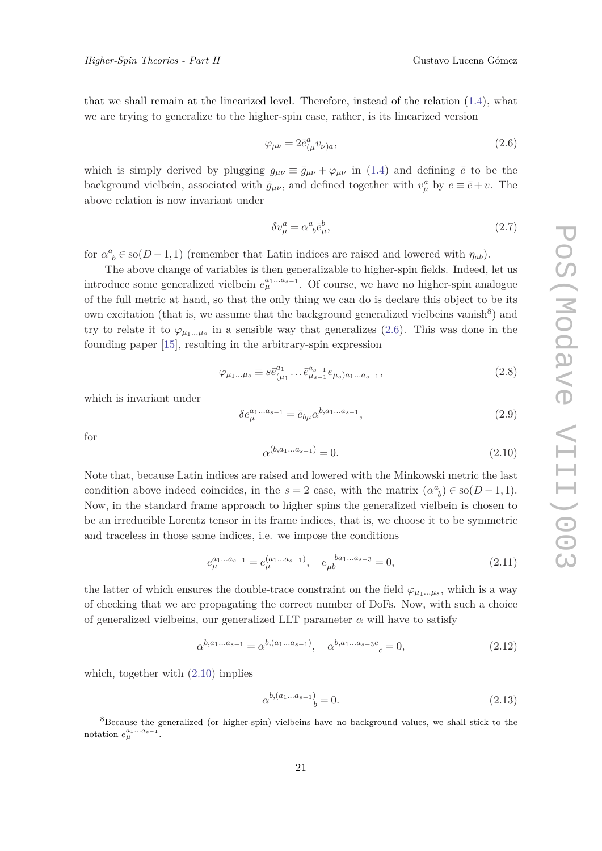<span id="page-20-0"></span>that we shall remain at the linearized level. Therefore, instead of the relation ([1.4](#page-3-0)), what we are trying to generalize to the higher-spin case, rather, is its linearized version

$$
\varphi_{\mu\nu} = 2\bar{e}^a_{(\mu}v_{\nu)a},\tag{2.6}
$$

which is simply derived by plugging  $g_{\mu\nu} \equiv \bar{g}_{\mu\nu} + \varphi_{\mu\nu}$  in ([1.4](#page-3-0)) and defining  $\bar{e}$  to be the background vielbein, associated with  $\bar{g}_{\mu\nu}$ , and defined together with  $v^a_\mu$  by  $e \equiv \bar{e} + v$ . The above relation is now invariant under

$$
\delta v^a_\mu = \alpha^a{}_b \bar{e}^b_\mu,\tag{2.7}
$$

for  $\alpha^a_{\ b} \in \text{so}(D-1,1)$  (remember that Latin indices are raised and lowered with  $\eta_{ab}$ ).

The above change of variables is then generalizable to higher-spin fields. Indeed, let us introduce some generalized vielbein  $e_{\mu}^{a_1...a_{s-1}}$ . Of course, we have no higher-spin analogue of the full metric at hand, so that the only thing we can do is declare this object to be its own excitation (that is, we assume that the background generalized vielbeins vanish<sup>8</sup>) and try to relate it to  $\varphi_{\mu_1...\mu_s}$  in a sensible way that generalizes (2.6). This was done in the founding paper [\[15](#page-34-0)], resulting in the arbitrary-spin expression

$$
\varphi_{\mu_1...\mu_s} \equiv s \bar{e}^{a_1}_{(\mu_1} \dots \bar{e}^{a_{s-1}}_{\mu_{s-1}} e_{\mu_s})_{a_1...a_{s-1}},
$$
\n(2.8)

which is invariant under

$$
\delta e_{\mu}^{a_1...a_{s-1}} = \bar{e}_{b\mu} \alpha^{b, a_1...a_{s-1}},\tag{2.9}
$$

for

$$
\alpha^{(b,a_1...a_{s-1})} = 0.\tag{2.10}
$$

Note that, because Latin indices are raised and lowered with the Minkowski metric the last condition above indeed coincides, in the  $s = 2$  case, with the matrix  $(\alpha^a)_b \in so(D-1,1)$ . Now, in the standard frame approach to higher spins the generalized vielbein is chosen to be an irreducible Lorentz tensor in its frame indices, that is, we choose it to be symmetric and traceless in those same indices, i.e. we impose the conditions

$$
e_{\mu}^{a_1...a_{s-1}} = e_{\mu}^{(a_1...a_{s-1})}, \quad e_{\mu b}^{b a_1...a_{s-3}} = 0,
$$
\n(2.11)

the latter of which ensures the double-trace constraint on the field  $\varphi_{\mu_1...\mu_s}$ , which is a way of checking that we are propagating the correct number of DoFs. Now, with such a choice of generalized vielbeins, our generalized LLT parameter  $\alpha$  will have to satisfy

$$
\alpha^{b,a_1...a_{s-1}} = \alpha^{b,(a_1...a_{s-1})}, \quad \alpha^{b,a_1...a_{s-3}c} = 0,
$$
\n(2.12)

which, together with (2.10) implies

$$
\alpha^{b,(a_1...a_{s-1})} = 0.\tag{2.13}
$$

<sup>&</sup>lt;sup>8</sup>Because the generalized (or higher-spin) vielbeins have no background values, we shall stick to the notation  $e_{\mu}^{a_1...a_{s-1}}$ .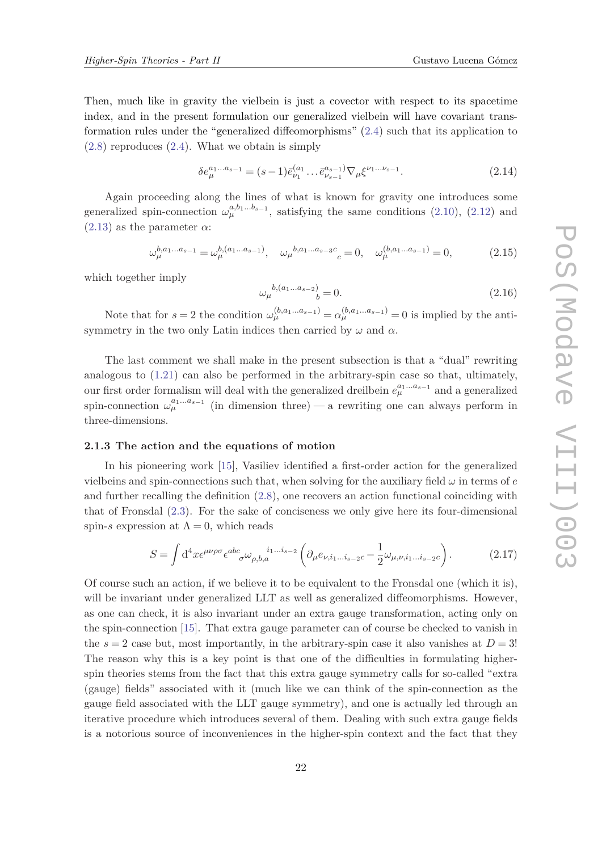<span id="page-21-0"></span>Then, much like in gravity the vielbein is just a covector with respect to its spacetime index, and in the present formulation our generalized vielbein will have covariant transformation rules under the "generalized diffeomorphisms" ([2.4\)](#page-19-0) such that its application to ([2.8\)](#page-20-0) reproduces ([2.4\)](#page-19-0). What we obtain is simply

$$
\delta e_{\mu}^{a_1...a_{s-1}} = (s-1)\bar{e}_{\nu_1}^{(a_1} \dots \bar{e}_{\nu_{s-1}}^{a_{s-1}}) \nabla_{\mu} \xi^{\nu_1... \nu_{s-1}}.
$$
\n(2.14)

Again proceeding along the lines of what is known for gravity one introduces some generalized spin-connection  $\omega_{\mu}^{a,b_1...b_{s-1}}$ , satisfying the same conditions ([2.10](#page-20-0)), ([2.12](#page-20-0)) and  $(2.13)$  $(2.13)$  as the parameter  $\alpha$ :

$$
\omega_{\mu}^{b,a_1...a_{s-1}} = \omega_{\mu}^{b,(a_1...a_{s-1})}, \quad \omega_{\mu}^{b,a_1...a_{s-3}c} = 0, \quad \omega_{\mu}^{(b,a_1...a_{s-1})} = 0,\tag{2.15}
$$

which together imply

$$
\omega_{\mu}{}^{b,(a_1...a_{s-2})}{}_{b} = 0.\tag{2.16}
$$

Note that for  $s = 2$  the condition  $\omega_{\mu}^{(b,a_1...a_{s-1})} = \alpha_{\mu}^{(b,a_1...a_{s-1})} = 0$  is implied by the antisymmetry in the two only Latin indices then carried by  $\omega$  and  $\alpha$ .

The last comment we shall make in the present subsection is that a "dual" rewriting analogous to ([1.21](#page-8-0)) can also be performed in the arbitrary-spin case so that, ultimately, our first order formalism will deal with the generalized dreilbein  $e_{\mu}^{a_1...a_{s-1}}$  and a generalized spin-connection  $\omega_{\mu}^{a_1...a_{s-1}}$  (in dimension three) — a rewriting one can always perform in three-dimensions.

# **2.1.3 The action and the equations of motion**

In his pioneering work [[15\]](#page-34-0), Vasiliev identified a first-order action for the generalized vielbeins and spin-connections such that, when solving for the auxiliary field  $\omega$  in terms of  $e$ and further recalling the definition [\(2.8](#page-20-0)), one recovers an action functional coinciding with that of Fronsdal [\(2.3](#page-18-0)). For the sake of conciseness we only give here its four-dimensional spin-*s* expression at  $\Lambda = 0$ , which reads

$$
S = \int d^4x \epsilon^{\mu\nu\rho\sigma} \epsilon^{abc}{}_{\sigma} \omega_{\rho,b,a}{}^{i_1...i_{s-2}} \left( \partial_{\mu} e_{\nu,i_1...i_{s-2}c} - \frac{1}{2} \omega_{\mu,\nu,i_1...i_{s-2}c} \right). \tag{2.17}
$$

Of course such an action, if we believe it to be equivalent to the Fronsdal one (which it is), will be invariant under generalized LLT as well as generalized diffeomorphisms. However, as one can check, it is also invariant under an extra gauge transformation, acting only on the spin-connection [[15](#page-34-0)]. That extra gauge parameter can of course be checked to vanish in the  $s = 2$  case but, most importantly, in the arbitrary-spin case it also vanishes at  $D = 3!$ The reason why this is a key point is that one of the difficulties in formulating higherspin theories stems from the fact that this extra gauge symmetry calls for so-called "extra (gauge) fields" associated with it (much like we can think of the spin-connection as the gauge field associated with the LLT gauge symmetry), and one is actually led through an iterative procedure which introduces several of them. Dealing with such extra gauge fields is a notorious source of inconveniences in the higher-spin context and the fact that they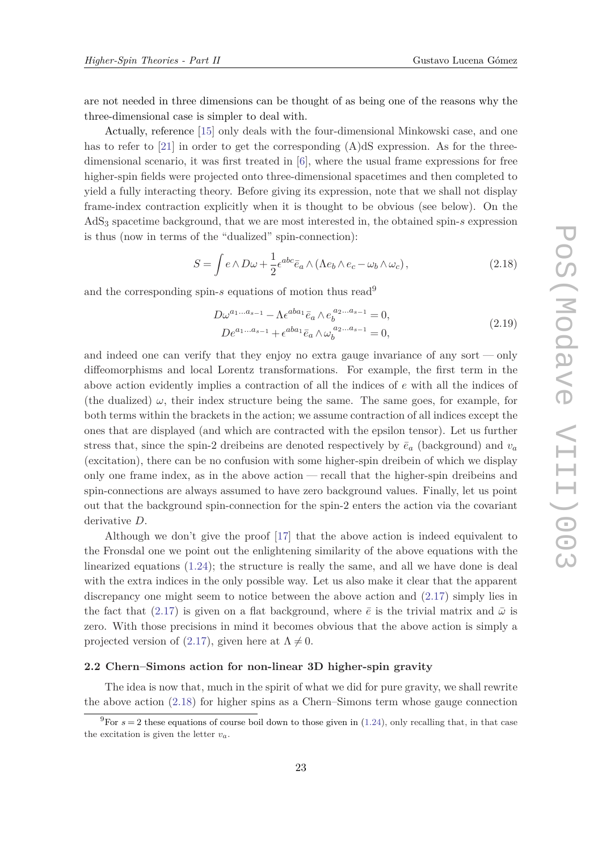<span id="page-22-0"></span>are not needed in three dimensions can be thought of as being one of the reasons why the three-dimensional case is simpler to deal with.

Actually, reference [[15](#page-34-0)] only deals with the four-dimensional Minkowski case, and one has to refer to  $[21]$  in order to get the corresponding  $(A)dS$  expression. As for the threedimensional scenario, it was first treated in [\[6\]](#page-33-0), where the usual frame expressions for free higher-spin fields were projected onto three-dimensional spacetimes and then completed to yield a fully interacting theory. Before giving its expression, note that we shall not display frame-index contraction explicitly when it is thought to be obvious (see below). On the AdS<sup>3</sup> spacetime background, that we are most interested in, the obtained spin-*s* expression is thus (now in terms of the "dualized" spin-connection):

$$
S = \int e \wedge D\omega + \frac{1}{2} \epsilon^{abc} \bar{e}_a \wedge (\Lambda e_b \wedge e_c - \omega_b \wedge \omega_c), \qquad (2.18)
$$

and the corresponding spin-*s* equations of motion thus read<sup>9</sup>

$$
D\omega^{a_1...a_{s-1}} - \Lambda \epsilon^{aba_1} \bar{e}_a \wedge e_b^{a_2...a_{s-1}} = 0,
$$
  
\n
$$
D e^{a_1...a_{s-1}} + \epsilon^{aba_1} \bar{e}_a \wedge \omega_b^{a_2...a_{s-1}} = 0,
$$
\n(2.19)

and indeed one can verify that they enjoy no extra gauge invariance of any sort — only diffeomorphisms and local Lorentz transformations. For example, the first term in the above action evidently implies a contraction of all the indices of *e* with all the indices of (the dualized)  $\omega$ , their index structure being the same. The same goes, for example, for both terms within the brackets in the action; we assume contraction of all indices except the ones that are displayed (and which are contracted with the epsilon tensor). Let us further stress that, since the spin-2 dreibeins are denoted respectively by  $\bar{e}_a$  (background) and  $v_a$ (excitation), there can be no confusion with some higher-spin dreibein of which we display only one frame index, as in the above action — recall that the higher-spin dreibeins and spin-connections are always assumed to have zero background values. Finally, let us point out that the background spin-connection for the spin-2 enters the action via the covariant derivative *D*.

Although we don't give the proof [\[17](#page-34-0)] that the above action is indeed equivalent to the Fronsdal one we point out the enlightening similarity of the above equations with the linearized equations [\(1.24\)](#page-8-0); the structure is really the same, and all we have done is deal with the extra indices in the only possible way. Let us also make it clear that the apparent discrepancy one might seem to notice between the above action and ([2.17\)](#page-21-0) simply lies in the fact that [\(2.17\)](#page-21-0) is given on a flat background, where  $\bar{e}$  is the trivial matrix and  $\bar{\omega}$  is zero. With those precisions in mind it becomes obvious that the above action is simply a projected version of ([2.17](#page-21-0)), given here at  $\Lambda \neq 0$ .

#### **2.2 Chern–Simons action for non-linear 3D higher-spin gravity**

The idea is now that, much in the spirit of what we did for pure gravity, we shall rewrite the above action (2.18) for higher spins as a Chern–Simons term whose gauge connection

<sup>&</sup>lt;sup>9</sup>For  $s = 2$  these equations of course boil down to those given in ([1.24](#page-8-0)), only recalling that, in that case the excitation is given the letter  $v_a$ .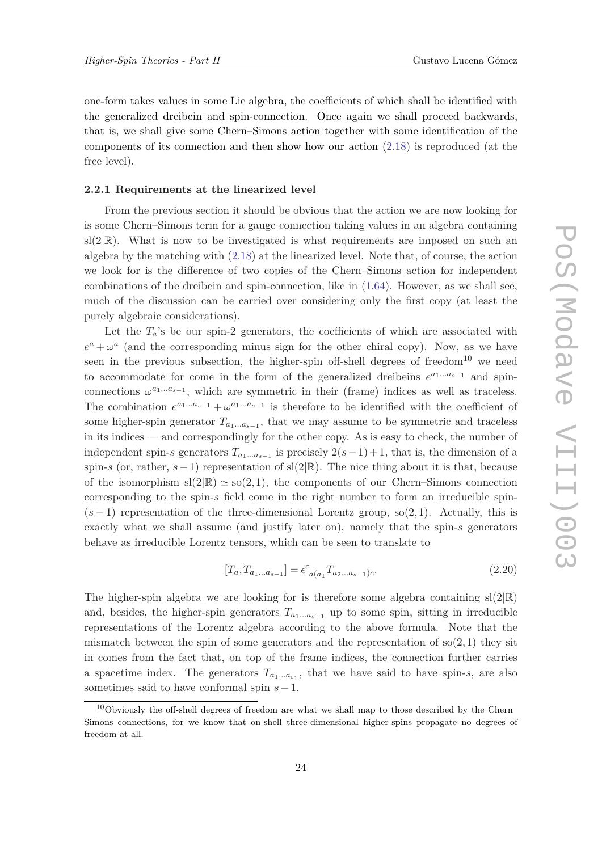<span id="page-23-0"></span>one-form takes values in some Lie algebra, the coefficients of which shall be identified with the generalized dreibein and spin-connection. Once again we shall proceed backwards, that is, we shall give some Chern–Simons action together with some identification of the components of its connection and then show how our action [\(2.18\)](#page-22-0) is reproduced (at the free level).

#### **2.2.1 Requirements at the linearized level**

From the previous section it should be obvious that the action we are now looking for is some Chern–Simons term for a gauge connection taking values in an algebra containing  $sl(2|\mathbb{R})$ . What is now to be investigated is what requirements are imposed on such an algebra by the matching with [\(2.18\)](#page-22-0) at the linearized level. Note that, of course, the action we look for is the difference of two copies of the Chern–Simons action for independent combinations of the dreibein and spin-connection, like in ([1.64](#page-16-0)). However, as we shall see, much of the discussion can be carried over considering only the first copy (at least the purely algebraic considerations).

Let the  $T_a$ 's be our spin-2 generators, the coefficients of which are associated with  $e^a + \omega^a$  (and the corresponding minus sign for the other chiral copy). Now, as we have seen in the previous subsection, the higher-spin off-shell degrees of freedom<sup>10</sup> we need to accommodate for come in the form of the generalized dreibeins  $e^{a_1...a_{s-1}}$  and spinconnections  $\omega^{a_1...a_{s-1}}$ , which are symmetric in their (frame) indices as well as traceless. The combination  $e^{a_1...a_{s-1}} + \omega^{a_1...a_{s-1}}$  is therefore to be identified with the coefficient of some higher-spin generator  $T_{a_1...a_{s-1}}$ , that we may assume to be symmetric and traceless in its indices — and correspondingly for the other copy. As is easy to check, the number of independent spin-*s* generators  $T_{a_1...a_{s-1}}$  is precisely  $2(s-1)+1$ , that is, the dimension of a spin-*s* (or, rather, *s*−1) representation of sl(2|R). The nice thing about it is that, because of the isomorphism  $\text{sl}(2|\mathbb{R}) \simeq \text{so}(2,1)$ , the components of our Chern–Simons connection corresponding to the spin-*s* field come in the right number to form an irreducible spin-  $(s-1)$  representation of the three-dimensional Lorentz group, so $(2,1)$ . Actually, this is exactly what we shall assume (and justify later on), namely that the spin-*s* generators behave as irreducible Lorentz tensors, which can be seen to translate to

$$
[T_a, T_{a_1...a_{s-1}}] = \epsilon^c_{a(a_1} T_{a_2...a_{s-1})c}.
$$
\n(2.20)

The higher-spin algebra we are looking for is therefore some algebra containing  $sl(2|\mathbb{R})$ and, besides, the higher-spin generators  $T_{a_1...a_{s-1}}$  up to some spin, sitting in irreducible representations of the Lorentz algebra according to the above formula. Note that the mismatch between the spin of some generators and the representation of  $\mathfrak{so}(2,1)$  they sit in comes from the fact that, on top of the frame indices, the connection further carries a spacetime index. The generators  $T_{a_1...a_{s_1}}$ , that we have said to have spin-*s*, are also sometimes said to have conformal spin *s*−1.

 $10$ Obviously the off-shell degrees of freedom are what we shall map to those described by the Chern– Simons connections, for we know that on-shell three-dimensional higher-spins propagate no degrees of freedom at all.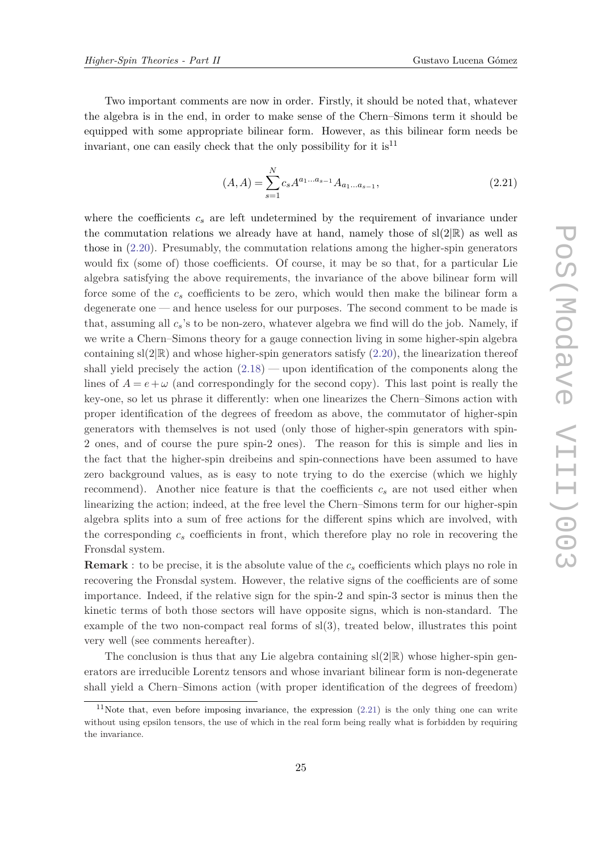<span id="page-24-0"></span>Two important comments are now in order. Firstly, it should be noted that, whatever the algebra is in the end, in order to make sense of the Chern–Simons term it should be equipped with some appropriate bilinear form. However, as this bilinear form needs be invariant, one can easily check that the only possibility for it is  $11$ 

$$
(A, A) = \sum_{s=1}^{N} c_s A^{a_1 \dots a_{s-1}} A_{a_1 \dots a_{s-1}},
$$
\n(2.21)

where the coefficients  $c_s$  are left undetermined by the requirement of invariance under the commutation relations we already have at hand, namely those of  $sl(2|\mathbb{R})$  as well as those in ([2.20](#page-23-0)). Presumably, the commutation relations among the higher-spin generators would fix (some of) those coefficients. Of course, it may be so that, for a particular Lie algebra satisfying the above requirements, the invariance of the above bilinear form will force some of the *c<sup>s</sup>* coefficients to be zero, which would then make the bilinear form a degenerate one — and hence useless for our purposes. The second comment to be made is that, assuming all *cs*'s to be non-zero, whatever algebra we find will do the job. Namely, if we write a Chern–Simons theory for a gauge connection living in some higher-spin algebra containing  $sl(2|\mathbb{R})$  and whose higher-spin generators satisfy  $(2.20)$  $(2.20)$  $(2.20)$ , the linearization thereof shall yield precisely the action  $(2.18)$  $(2.18)$  $(2.18)$  — upon identification of the components along the lines of  $A = e + \omega$  (and correspondingly for the second copy). This last point is really the key-one, so let us phrase it differently: when one linearizes the Chern–Simons action with proper identification of the degrees of freedom as above, the commutator of higher-spin generators with themselves is not used (only those of higher-spin generators with spin-2 ones, and of course the pure spin-2 ones). The reason for this is simple and lies in the fact that the higher-spin dreibeins and spin-connections have been assumed to have zero background values, as is easy to note trying to do the exercise (which we highly recommend). Another nice feature is that the coefficients  $c_s$  are not used either when linearizing the action; indeed, at the free level the Chern–Simons term for our higher-spin algebra splits into a sum of free actions for the different spins which are involved, with the corresponding *c<sup>s</sup>* coefficients in front, which therefore play no role in recovering the Fronsdal system.

**Remark** : to be precise, it is the absolute value of the *c<sup>s</sup>* coefficients which plays no role in recovering the Fronsdal system. However, the relative signs of the coefficients are of some importance. Indeed, if the relative sign for the spin-2 and spin-3 sector is minus then the kinetic terms of both those sectors will have opposite signs, which is non-standard. The example of the two non-compact real forms of sl(3), treated below, illustrates this point very well (see comments hereafter).

The conclusion is thus that any Lie algebra containing  $sl(2|\mathbb{R})$  whose higher-spin generators are irreducible Lorentz tensors and whose invariant bilinear form is non-degenerate shall yield a Chern–Simons action (with proper identification of the degrees of freedom)

<sup>&</sup>lt;sup>11</sup>Note that, even before imposing invariance, the expression  $(2.21)$  is the only thing one can write without using epsilon tensors, the use of which in the real form being really what is forbidden by requiring the invariance.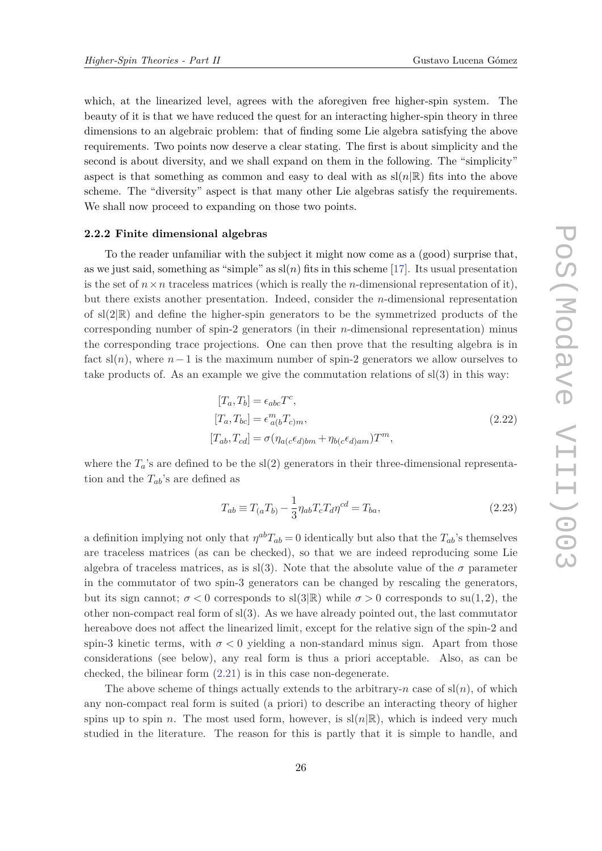<span id="page-25-0"></span>which, at the linearized level, agrees with the aforegiven free higher-spin system. The beauty of it is that we have reduced the quest for an interacting higher-spin theory in three dimensions to an algebraic problem: that of finding some Lie algebra satisfying the above requirements. Two points now deserve a clear stating. The first is about simplicity and the second is about diversity, and we shall expand on them in the following. The "simplicity" aspect is that something as common and easy to deal with as  $\text{sl}(n|\mathbb{R})$  fits into the above scheme. The "diversity" aspect is that many other Lie algebras satisfy the requirements. We shall now proceed to expanding on those two points.

#### **2.2.2 Finite dimensional algebras**

To the reader unfamiliar with the subject it might now come as a (good) surprise that, as we just said, something as "simple" as  $s(n)$  fits in this scheme [\[17](#page-34-0)]. Its usual presentation is the set of  $n \times n$  traceless matrices (which is really the *n*-dimensional representation of it), but there exists another presentation. Indeed, consider the *n*-dimensional representation of  $sl(2|\mathbb{R})$  and define the higher-spin generators to be the symmetrized products of the corresponding number of spin-2 generators (in their *n*-dimensional representation) minus the corresponding trace projections. One can then prove that the resulting algebra is in fact  $\text{sl}(n)$ , where  $n-1$  is the maximum number of spin-2 generators we allow ourselves to take products of. As an example we give the commutation relations of  $sl(3)$  in this way:

$$
[T_a, T_b] = \epsilon_{abc} T^c,
$$
  
\n
$$
[T_a, T_{bc}] = \epsilon^m_{a(b} T_{c)m},
$$
  
\n
$$
[T_{ab}, T_{cd}] = \sigma (\eta_{a(c} \epsilon_{d)bm} + \eta_{b(c} \epsilon_{d)am}) T^m,
$$
\n(2.22)

where the  $T_a$ 's are defined to be the sl(2) generators in their three-dimensional representation and the *Tab*'s are defined as

$$
T_{ab} \equiv T_{(a}T_{b)} - \frac{1}{3}\eta_{ab}T_{c}T_{d}\eta^{cd} = T_{ba},
$$
\n(2.23)

a definition implying not only that  $\eta^{ab}T_{ab} = 0$  identically but also that the  $T_{ab}$ 's themselves are traceless matrices (as can be checked), so that we are indeed reproducing some Lie algebra of traceless matrices, as is sl(3). Note that the absolute value of the  $\sigma$  parameter in the commutator of two spin-3 generators can be changed by rescaling the generators, but its sign cannot;  $\sigma < 0$  corresponds to sl(3|R) while  $\sigma > 0$  corresponds to su(1,2), the other non-compact real form of  $sl(3)$ . As we have already pointed out, the last commutator hereabove does not affect the linearized limit, except for the relative sign of the spin-2 and spin-3 kinetic terms, with  $\sigma < 0$  yielding a non-standard minus sign. Apart from those considerations (see below), any real form is thus a priori acceptable. Also, as can be checked, the bilinear form ([2.21](#page-24-0)) is in this case non-degenerate.

The above scheme of things actually extends to the arbitrary-*n* case of  $\text{sl}(n)$ , of which any non-compact real form is suited (a priori) to describe an interacting theory of higher spins up to spin *n*. The most used form, however, is  $sl(n|\mathbb{R})$ , which is indeed very much studied in the literature. The reason for this is partly that it is simple to handle, and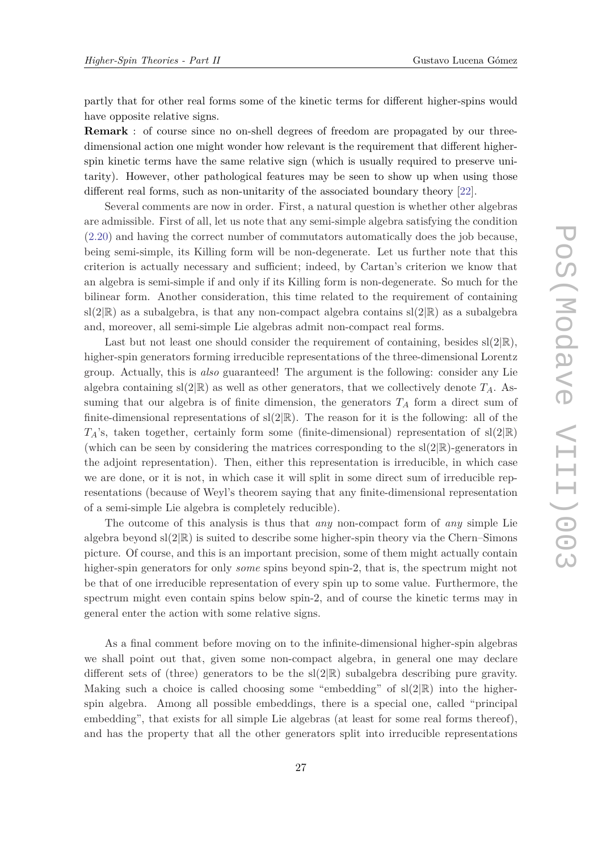partly that for other real forms some of the kinetic terms for different higher-spins would have opposite relative signs.

**Remark** : of course since no on-shell degrees of freedom are propagated by our threedimensional action one might wonder how relevant is the requirement that different higherspin kinetic terms have the same relative sign (which is usually required to preserve unitarity). However, other pathological features may be seen to show up when using those different real forms, such as non-unitarity of the associated boundary theory [[22\]](#page-34-0).

Several comments are now in order. First, a natural question is whether other algebras are admissible. First of all, let us note that any semi-simple algebra satisfying the condition ([2.20\)](#page-23-0) and having the correct number of commutators automatically does the job because, being semi-simple, its Killing form will be non-degenerate. Let us further note that this criterion is actually necessary and sufficient; indeed, by Cartan's criterion we know that an algebra is semi-simple if and only if its Killing form is non-degenerate. So much for the bilinear form. Another consideration, this time related to the requirement of containing  $sl(2|\mathbb{R})$  as a subalgebra, is that any non-compact algebra contains  $sl(2|\mathbb{R})$  as a subalgebra and, moreover, all semi-simple Lie algebras admit non-compact real forms.

Last but not least one should consider the requirement of containing, besides  $sl(2|\mathbb{R}),$ higher-spin generators forming irreducible representations of the three-dimensional Lorentz group. Actually, this is *also* guaranteed! The argument is the following: consider any Lie algebra containing  $sl(2|\mathbb{R})$  as well as other generators, that we collectively denote  $T_A$ . Assuming that our algebra is of finite dimension, the generators  $T_A$  form a direct sum of finite-dimensional representations of  $sl(2|\mathbb{R})$ . The reason for it is the following: all of the  $T_A$ 's, taken together, certainly form some (finite-dimensional) representation of sl(2|R) (which can be seen by considering the matrices corresponding to the  $sl(2|\mathbb{R})$ -generators in the adjoint representation). Then, either this representation is irreducible, in which case we are done, or it is not, in which case it will split in some direct sum of irreducible representations (because of Weyl's theorem saying that any finite-dimensional representation of a semi-simple Lie algebra is completely reducible).

The outcome of this analysis is thus that *any* non-compact form of *any* simple Lie algebra beyond  $sl(2|\mathbb{R})$  is suited to describe some higher-spin theory via the Chern–Simons picture. Of course, and this is an important precision, some of them might actually contain higher-spin generators for only *some* spins beyond spin-2, that is, the spectrum might not be that of one irreducible representation of every spin up to some value. Furthermore, the spectrum might even contain spins below spin-2, and of course the kinetic terms may in general enter the action with some relative signs.

As a final comment before moving on to the infinite-dimensional higher-spin algebras we shall point out that, given some non-compact algebra, in general one may declare different sets of (three) generators to be the  $sl(2|\mathbb{R})$  subalgebra describing pure gravity. Making such a choice is called choosing some "embedding" of  $sl(2|\mathbb{R})$  into the higherspin algebra. Among all possible embeddings, there is a special one, called "principal embedding", that exists for all simple Lie algebras (at least for some real forms thereof), and has the property that all the other generators split into irreducible representations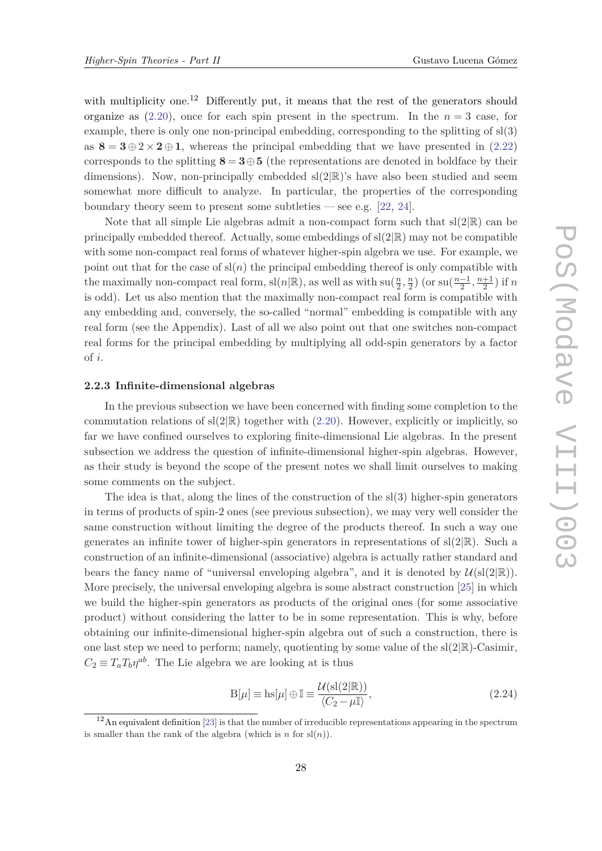with multiplicity one.<sup>12</sup> Differently put, it means that the rest of the generators should organize as  $(2.20)$  $(2.20)$  $(2.20)$ , once for each spin present in the spectrum. In the  $n=3$  case, for example, there is only one non-principal embedding, corresponding to the splitting of sl(3) as  $8 = 3 \oplus 2 \times 2 \oplus 1$ , whereas the principal embedding that we have presented in [\(2.22\)](#page-25-0) corresponds to the splitting  $8 = 3 \oplus 5$  (the representations are denoted in boldface by their dimensions). Now, non-principally embedded  $sl(2|\mathbb{R})$ 's have also been studied and seem somewhat more difficult to analyze. In particular, the properties of the corresponding boundary theory seem to present some subtleties — see e.g.  $[22, 24]$  $[22, 24]$  $[22, 24]$  $[22, 24]$  $[22, 24]$ .

Note that all simple Lie algebras admit a non-compact form such that  $sl(2|\mathbb{R})$  can be principally embedded thereof. Actually, some embeddings of  $sl(2|\mathbb{R})$  may not be compatible with some non-compact real forms of whatever higher-spin algebra we use. For example, we point out that for the case of  $\operatorname{sl}(n)$  the principal embedding thereof is only compatible with the maximally non-compact real form,  $\text{sl}(n|\mathbb{R})$ , as well as with  $\text{su}(\frac{n}{2})$  $\frac{n}{2}, \frac{n}{2}$  $\frac{n}{2}$ ) (or su( $\frac{n-1}{2}$ )  $\frac{-1}{2}, \frac{n+1}{2}$  $\frac{+1}{2}$ ) if *n* is odd). Let us also mention that the maximally non-compact real form is compatible with any embedding and, conversely, the so-called "normal" embedding is compatible with any real form (see the Appendix). Last of all we also point out that one switches non-compact real forms for the principal embedding by multiplying all odd-spin generators by a factor of *i*.

### **2.2.3 Infinite-dimensional algebras**

In the previous subsection we have been concerned with finding some completion to the commutation relations of  $sl(2|\mathbb{R})$  together with ([2.20](#page-23-0)). However, explicitly or implicitly, so far we have confined ourselves to exploring finite-dimensional Lie algebras. In the present subsection we address the question of infinite-dimensional higher-spin algebras. However, as their study is beyond the scope of the present notes we shall limit ourselves to making some comments on the subject.

The idea is that, along the lines of the construction of the  $sl(3)$  higher-spin generators in terms of products of spin-2 ones (see previous subsection), we may very well consider the same construction without limiting the degree of the products thereof. In such a way one generates an infinite tower of higher-spin generators in representations of  $sl(2|\mathbb{R})$ . Such a construction of an infinite-dimensional (associative) algebra is actually rather standard and bears the fancy name of "universal enveloping algebra", and it is denoted by  $\mathcal{U}(sl(2|\mathbb{R}))$ . More precisely, the universal enveloping algebra is some abstract construction [[25](#page-34-0)] in which we build the higher-spin generators as products of the original ones (for some associative product) without considering the latter to be in some representation. This is why, before obtaining our infinite-dimensional higher-spin algebra out of such a construction, there is one last step we need to perform; namely, quotienting by some value of the  $sl(2|\mathbb{R})$ -Casimir,  $C_2 \equiv T_a T_b \eta^{ab}$ . The Lie algebra we are looking at is thus

$$
B[\mu] \equiv h s[\mu] \oplus \mathbb{I} \equiv \frac{\mathcal{U}(s(2|\mathbb{R}))}{\langle C_2 - \mu \mathbb{I} \rangle},\tag{2.24}
$$

<sup>&</sup>lt;sup>12</sup>An equivalent definition [[23](#page-34-0)] is that the number of irreducible representations appearing in the spectrum is smaller than the rank of the algebra (which is  $n \text{ for } sl(n)$ ).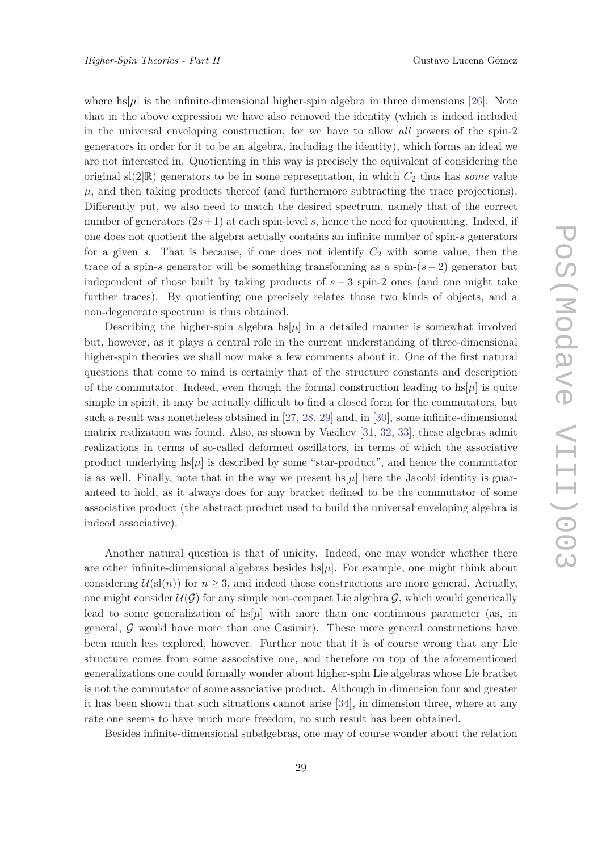where  $\text{hs}[\mu]$  is the infinite-dimensional higher-spin algebra in three dimensions [[26](#page-34-0)]. Note that in the above expression we have also removed the identity (which is indeed included in the universal enveloping construction, for we have to allow *all* powers of the spin-2 generators in order for it to be an algebra, including the identity), which forms an ideal we are not interested in. Quotienting in this way is precisely the equivalent of considering the original  $sl(2|\mathbb{R})$  generators to be in some representation, in which  $C_2$  thus has *some* value  $\mu$ , and then taking products thereof (and furthermore subtracting the trace projections). Differently put, we also need to match the desired spectrum, namely that of the correct number of generators  $(2s+1)$  at each spin-level *s*, hence the need for quotienting. Indeed, if one does not quotient the algebra actually contains an infinite number of spin-*s* generators for a given *s*. That is because, if one does not identify *C*<sup>2</sup> with some value, then the trace of a spin-*s* generator will be something transforming as a spin-(*s*−2) generator but independent of those built by taking products of *s* − 3 spin-2 ones (and one might take further traces). By quotienting one precisely relates those two kinds of objects, and a non-degenerate spectrum is thus obtained.

Describing the higher-spin algebra  $hs[\mu]$  in a detailed manner is somewhat involved but, however, as it plays a central role in the current understanding of three-dimensional higher-spin theories we shall now make a few comments about it. One of the first natural questions that come to mind is certainly that of the structure constants and description of the commutator. Indeed, even though the formal construction leading to  $\text{hs}[\mu]$  is quite simple in spirit, it may be actually difficult to find a closed form for the commutators, but such a result was nonetheless obtained in [[27](#page-34-0), [28,](#page-34-0) [29\]](#page-34-0) and, in [[30\]](#page-34-0), some infinite-dimensional matrix realization was found. Also, as shown by Vasiliev [[31,](#page-34-0) [32](#page-34-0), [33\]](#page-34-0), these algebras admit realizations in terms of so-called deformed oscillators, in terms of which the associative product underlying  $hs[\mu]$  is described by some "star-product", and hence the commutator is as well. Finally, note that in the way we present  $\text{hs}[\mu]$  here the Jacobi identity is guaranteed to hold, as it always does for any bracket defined to be the commutator of some associative product (the abstract product used to build the universal enveloping algebra is indeed associative).

Another natural question is that of unicity. Indeed, one may wonder whether there are other infinite-dimensional algebras besides  $\frac{h}{\mu}$ . For example, one might think about considering  $U(\text{sl}(n))$  for  $n \geq 3$ , and indeed those constructions are more general. Actually, one might consider  $\mathcal{U}(\mathcal{G})$  for any simple non-compact Lie algebra  $\mathcal{G}$ , which would generically lead to some generalization of  $\text{hs}[\mu]$  with more than one continuous parameter (as, in general,  $G$  would have more than one Casimir). These more general constructions have been much less explored, however. Further note that it is of course wrong that any Lie structure comes from some associative one, and therefore on top of the aforementioned generalizations one could formally wonder about higher-spin Lie algebras whose Lie bracket is not the commutator of some associative product. Although in dimension four and greater it has been shown that such situations cannot arise [[34](#page-34-0)], in dimension three, where at any rate one seems to have much more freedom, no such result has been obtained.

Besides infinite-dimensional subalgebras, one may of course wonder about the relation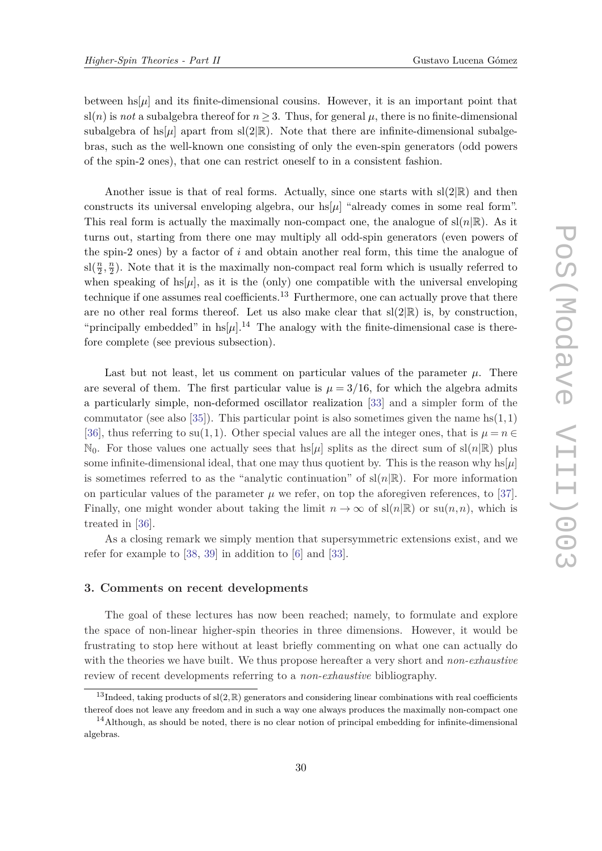<span id="page-29-0"></span>between  $\text{hs}[\mu]$  and its finite-dimensional cousins. However, it is an important point that  $sl(n)$  is *not* a subalgebra thereof for  $n \geq 3$ . Thus, for general  $\mu$ , there is no finite-dimensional subalgebra of  $\text{hs}(\mu)$  apart from sl(2|R). Note that there are infinite-dimensional subalgebras, such as the well-known one consisting of only the even-spin generators (odd powers of the spin-2 ones), that one can restrict oneself to in a consistent fashion.

Another issue is that of real forms. Actually, since one starts with  $sl(2|\mathbb{R})$  and then constructs its universal enveloping algebra, our  $hs[\mu]$  "already comes in some real form". This real form is actually the maximally non-compact one, the analogue of  $\text{sl}(n|\mathbb{R})$ . As it turns out, starting from there one may multiply all odd-spin generators (even powers of the spin-2 ones) by a factor of *i* and obtain another real form, this time the analogue of  $sl(\frac{n}{2})$  $\frac{n}{2}, \frac{n}{2}$  $\frac{n}{2}$ ). Note that it is the maximally non-compact real form which is usually referred to when speaking of  $hs[\mu]$ , as it is the (only) one compatible with the universal enveloping technique if one assumes real coefficients.<sup>13</sup> Furthermore, one can actually prove that there are no other real forms thereof. Let us also make clear that  $sl(2|\mathbb{R})$  is, by construction, "principally embedded" in  $\frac{\ln |\mu|}{14}$  The analogy with the finite-dimensional case is therefore complete (see previous subsection).

Last but not least, let us comment on particular values of the parameter  $\mu$ . There are several of them. The first particular value is  $\mu = 3/16$ , for which the algebra admits a particularly simple, non-deformed oscillator realization [[33\]](#page-34-0) and a simpler form of the commutator (see also [\[35](#page-35-0)]). This particular point is also sometimes given the name hs(1*,*1) [\[36](#page-35-0)], thus referring to su(1,1). Other special values are all the integer ones, that is  $\mu = n \in$  $\mathbb{N}_0$ . For those values one actually sees that  $\text{hs}[\mu]$  splits as the direct sum of  $\text{sl}(n|\mathbb{R})$  plus some infinite-dimensional ideal, that one may thus quotient by. This is the reason why  $\ln |\mu|$ is sometimes referred to as the "analytic continuation" of  $\text{sl}(n|\mathbb{R})$ . For more information on particular values of the parameter  $\mu$  we refer, on top the aforegiven references, to [[37\]](#page-35-0). Finally, one might wonder about taking the limit  $n \to \infty$  of  $\text{sl}(n|\mathbb{R})$  or  $\text{su}(n,n)$ , which is treated in [[36\]](#page-35-0).

As a closing remark we simply mention that supersymmetric extensions exist, and we refer for example to [\[38](#page-35-0), [39\]](#page-35-0) in addition to [[6](#page-33-0)] and [[33\]](#page-34-0).

# **3. Comments on recent developments**

The goal of these lectures has now been reached; namely, to formulate and explore the space of non-linear higher-spin theories in three dimensions. However, it would be frustrating to stop here without at least briefly commenting on what one can actually do with the theories we have built. We thus propose hereafter a very short and *non-exhaustive* review of recent developments referring to a *non-exhaustive* bibliography.

<sup>&</sup>lt;sup>13</sup>Indeed, taking products of  $sl(2,\mathbb{R})$  generators and considering linear combinations with real coefficients thereof does not leave any freedom and in such a way one always produces the maximally non-compact one

 $14$ Although, as should be noted, there is no clear notion of principal embedding for infinite-dimensional algebras.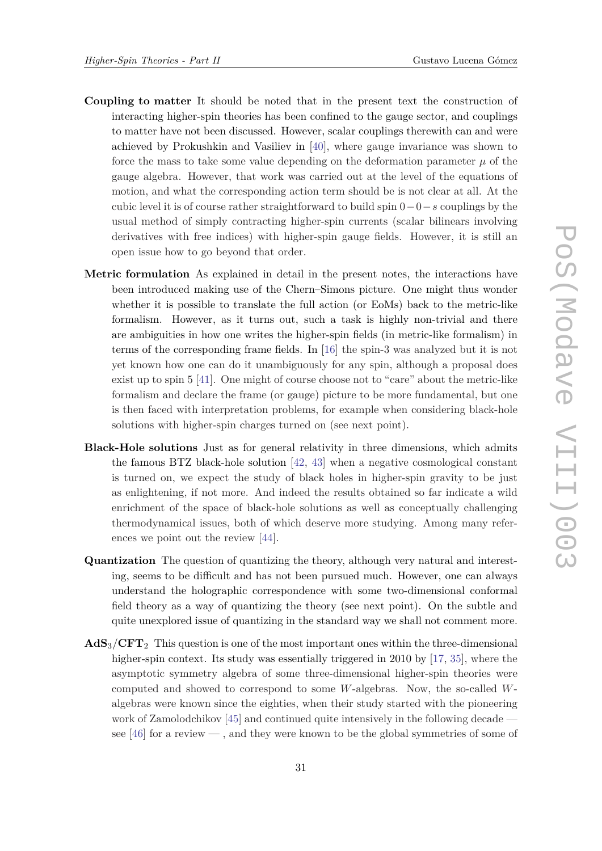- **Coupling to matter** It should be noted that in the present text the construction of interacting higher-spin theories has been confined to the gauge sector, and couplings to matter have not been discussed. However, scalar couplings therewith can and were achieved by Prokushkin and Vasiliev in [[40\]](#page-35-0), where gauge invariance was shown to force the mass to take some value depending on the deformation parameter  $\mu$  of the gauge algebra. However, that work was carried out at the level of the equations of motion, and what the corresponding action term should be is not clear at all. At the cubic level it is of course rather straightforward to build spin 0−0−*s* couplings by the usual method of simply contracting higher-spin currents (scalar bilinears involving derivatives with free indices) with higher-spin gauge fields. However, it is still an open issue how to go beyond that order.
- **Metric formulation** As explained in detail in the present notes, the interactions have been introduced making use of the Chern–Simons picture. One might thus wonder whether it is possible to translate the full action (or EoMs) back to the metric-like formalism. However, as it turns out, such a task is highly non-trivial and there are ambiguities in how one writes the higher-spin fields (in metric-like formalism) in terms of the corresponding frame fields. In [[16\]](#page-34-0) the spin-3 was analyzed but it is not yet known how one can do it unambiguously for any spin, although a proposal does exist up to spin 5 [[41\]](#page-35-0). One might of course choose not to "care" about the metric-like formalism and declare the frame (or gauge) picture to be more fundamental, but one is then faced with interpretation problems, for example when considering black-hole solutions with higher-spin charges turned on (see next point).
- **Black-Hole solutions** Just as for general relativity in three dimensions, which admits the famous BTZ black-hole solution [\[42](#page-35-0), [43](#page-35-0)] when a negative cosmological constant is turned on, we expect the study of black holes in higher-spin gravity to be just as enlightening, if not more. And indeed the results obtained so far indicate a wild enrichment of the space of black-hole solutions as well as conceptually challenging thermodynamical issues, both of which deserve more studying. Among many references we point out the review [[44\]](#page-35-0).
- **Quantization** The question of quantizing the theory, although very natural and interesting, seems to be difficult and has not been pursued much. However, one can always understand the holographic correspondence with some two-dimensional conformal field theory as a way of quantizing the theory (see next point). On the subtle and quite unexplored issue of quantizing in the standard way we shall not comment more.
- **AdS**3*/***CFT**<sup>2</sup> This question is one of the most important ones within the three-dimensional higher-spin context. Its study was essentially triggered in 2010 by [[17](#page-34-0), [35](#page-35-0)], where the asymptotic symmetry algebra of some three-dimensional higher-spin theories were computed and showed to correspond to some *W*-algebras. Now, the so-called *W*algebras were known since the eighties, when their study started with the pioneering work of Zamolodchikov [\[45](#page-35-0)] and continued quite intensively in the following decade see [[46\]](#page-35-0) for a review — , and they were known to be the global symmetries of some of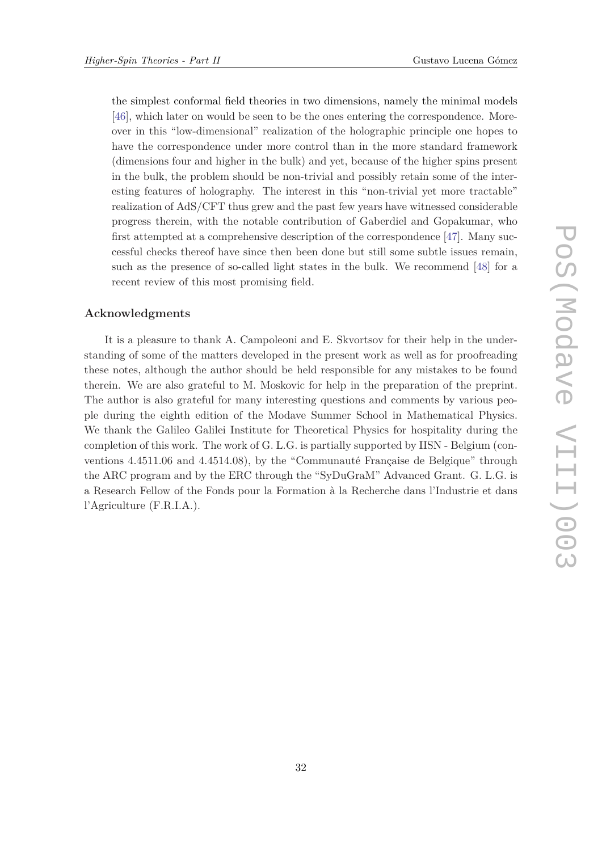the simplest conformal field theories in two dimensions, namely the minimal models [\[46](#page-35-0)], which later on would be seen to be the ones entering the correspondence. Moreover in this "low-dimensional" realization of the holographic principle one hopes to have the correspondence under more control than in the more standard framework (dimensions four and higher in the bulk) and yet, because of the higher spins present in the bulk, the problem should be non-trivial and possibly retain some of the interesting features of holography. The interest in this "non-trivial yet more tractable" realization of AdS/CFT thus grew and the past few years have witnessed considerable progress therein, with the notable contribution of Gaberdiel and Gopakumar, who first attempted at a comprehensive description of the correspondence [[47](#page-35-0)]. Many successful checks thereof have since then been done but still some subtle issues remain, such as the presence of so-called light states in the bulk. We recommend [[48](#page-35-0)] for a recent review of this most promising field.

# **Acknowledgments**

It is a pleasure to thank A. Campoleoni and E. Skvortsov for their help in the understanding of some of the matters developed in the present work as well as for proofreading these notes, although the author should be held responsible for any mistakes to be found therein. We are also grateful to M. Moskovic for help in the preparation of the preprint. The author is also grateful for many interesting questions and comments by various people during the eighth edition of the Modave Summer School in Mathematical Physics. We thank the Galileo Galilei Institute for Theoretical Physics for hospitality during the completion of this work. The work of G. L.G. is partially supported by IISN - Belgium (conventions 4.4511.06 and 4.4514.08), by the "Communauté Française de Belgique" through the ARC program and by the ERC through the "SyDuGraM" Advanced Grant. G. L.G. is a Research Fellow of the Fonds pour la Formation à la Recherche dans l'Industrie et dans l'Agriculture (F.R.I.A.).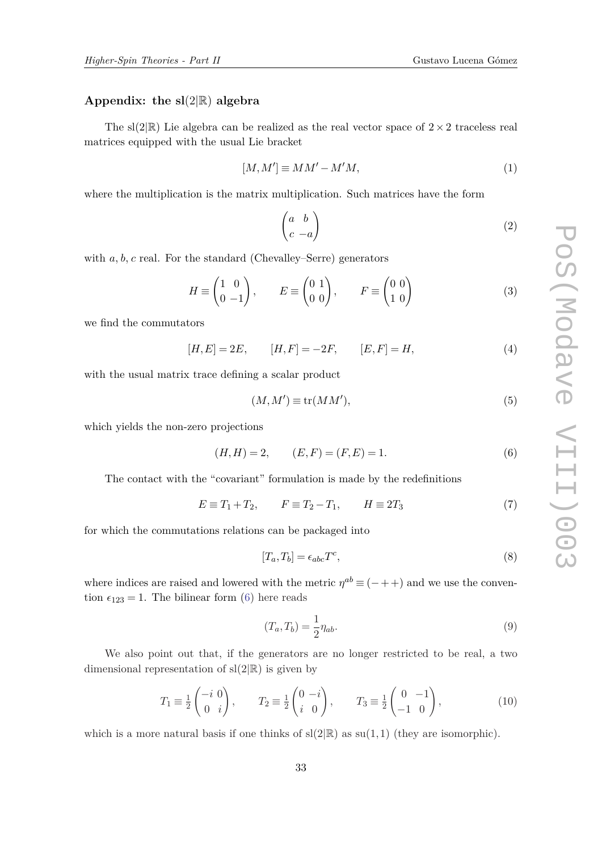# **Appendix: the sl**(2|R) **algebra**

The sl(2|R) Lie algebra can be realized as the real vector space of  $2 \times 2$  traceless real matrices equipped with the usual Lie bracket

$$
[M,M'] \equiv MM' - M'M,\tag{1}
$$

where the multiplication is the matrix multiplication. Such matrices have the form

$$
\begin{pmatrix} a & b \\ c & -a \end{pmatrix} \tag{2}
$$

with *a, b, c* real. For the standard (Chevalley–Serre) generators

$$
H \equiv \begin{pmatrix} 1 & 0 \\ 0 & -1 \end{pmatrix}, \qquad E \equiv \begin{pmatrix} 0 & 1 \\ 0 & 0 \end{pmatrix}, \qquad F \equiv \begin{pmatrix} 0 & 0 \\ 1 & 0 \end{pmatrix}
$$
 (3)

we find the commutators

$$
[H, E] = 2E, \t [H, F] = -2F, \t [E, F] = H,
$$
\n(4)

with the usual matrix trace defining a scalar product

$$
(M, M') \equiv \text{tr}(MM'),\tag{5}
$$

which yields the non-zero projections

$$
(H, H) = 2, \qquad (E, F) = (F, E) = 1.
$$
 (6)

The contact with the "covariant" formulation is made by the redefinitions

$$
E \equiv T_1 + T_2, \qquad F \equiv T_2 - T_1, \qquad H \equiv 2T_3 \tag{7}
$$

for which the commutations relations can be packaged into

$$
[T_a, T_b] = \epsilon_{abc} T^c,\tag{8}
$$

where indices are raised and lowered with the metric  $\eta^{ab} \equiv (-++)$  and we use the convention  $\epsilon_{123} = 1$ . The bilinear form (6) here reads

$$
(T_a, T_b) = \frac{1}{2} \eta_{ab}.\tag{9}
$$

We also point out that, if the generators are no longer restricted to be real, a two dimensional representation of  $sl(2|\mathbb{R})$  is given by

$$
T_1 \equiv \frac{1}{2} \begin{pmatrix} -i & 0 \\ 0 & i \end{pmatrix}, \qquad T_2 \equiv \frac{1}{2} \begin{pmatrix} 0 & -i \\ i & 0 \end{pmatrix}, \qquad T_3 \equiv \frac{1}{2} \begin{pmatrix} 0 & -1 \\ -1 & 0 \end{pmatrix}, \tag{10}
$$

which is a more natural basis if one thinks of  $sl(2|\mathbb{R})$  as  $su(1,1)$  (they are isomorphic).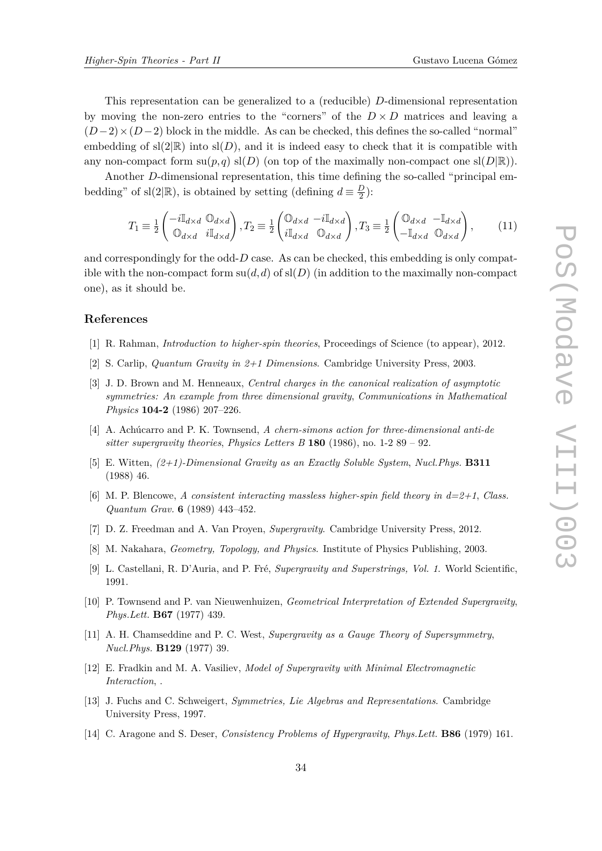<span id="page-33-0"></span>This representation can be generalized to a (reducible) *D*-dimensional representation by moving the non-zero entries to the "corners" of the  $D \times D$  matrices and leaving a  $(D-2) \times (D-2)$  block in the middle. As can be checked, this defines the so-called "normal" embedding of  $sl(2|\mathbb{R})$  into  $sl(D)$ , and it is indeed easy to check that it is compatible with any non-compact form  $su(p,q)$   $sl(D)$  (on top of the maximally non-compact one  $sl(D|\mathbb{R})$ ).

Another *D*-dimensional representation, this time defining the so-called "principal embedding" of sl(2|R), is obtained by setting (defining  $d \equiv \frac{D}{2}$  $\frac{D}{2}$ ):

$$
T_1 \equiv \frac{1}{2} \begin{pmatrix} -i\mathbb{I}_{d \times d} & \mathbb{O}_{d \times d} \\ \mathbb{O}_{d \times d} & i\mathbb{I}_{d \times d} \end{pmatrix}, T_2 \equiv \frac{1}{2} \begin{pmatrix} \mathbb{O}_{d \times d} & -i\mathbb{I}_{d \times d} \\ i\mathbb{I}_{d \times d} & \mathbb{O}_{d \times d} \end{pmatrix}, T_3 \equiv \frac{1}{2} \begin{pmatrix} \mathbb{O}_{d \times d} & -\mathbb{I}_{d \times d} \\ -\mathbb{I}_{d \times d} & \mathbb{O}_{d \times d} \end{pmatrix}, \tag{11}
$$

and correspondingly for the odd-*D* case. As can be checked, this embedding is only compatible with the non-compact form  $su(d, d)$  of  $sl(D)$  (in addition to the maximally non-compact one), as it should be.

# **References**

- [1] R. Rahman, *Introduction to higher-spin theories*, Proceedings of Science (to appear), 2012.
- [2] S. Carlip, *Quantum Gravity in 2+1 Dimensions*. Cambridge University Press, 2003.
- [3] J. D. Brown and M. Henneaux, *Central charges in the canonical realization of asymptotic symmetries: An example from three dimensional gravity*, *Communications in Mathematical Physics* **104-2** (1986) 207–226.
- [4] A. Achúcarro and P. K. Townsend, *A chern-simons action for three-dimensional anti-de sitter supergravity theories*, *Physics Letters B* **180** (1986), no. 1-2 89 – 92.
- [5] E. Witten, *(2+1)-Dimensional Gravity as an Exactly Soluble System*, *Nucl.Phys.* **B311** (1988) 46.
- [6] M. P. Blencowe, *A consistent interacting massless higher-spin field theory in d=2+1*, *Class. Quantum Grav.* **6** (1989) 443–452.
- [7] D. Z. Freedman and A. Van Proyen, *Supergravity*. Cambridge University Press, 2012.
- [8] M. Nakahara, *Geometry, Topology, and Physics*. Institute of Physics Publishing, 2003.
- [9] L. Castellani, R. D'Auria, and P. Fré, *Supergravity and Superstrings, Vol. 1*. World Scientific, 1991.
- [10] P. Townsend and P. van Nieuwenhuizen, *Geometrical Interpretation of Extended Supergravity*, *Phys.Lett.* **B67** (1977) 439.
- [11] A. H. Chamseddine and P. C. West, *Supergravity as a Gauge Theory of Supersymmetry*, *Nucl.Phys.* **B129** (1977) 39.
- [12] E. Fradkin and M. A. Vasiliev, *Model of Supergravity with Minimal Electromagnetic Interaction*, .
- [13] J. Fuchs and C. Schweigert, *Symmetries, Lie Algebras and Representations*. Cambridge University Press, 1997.
- [14] C. Aragone and S. Deser, *Consistency Problems of Hypergravity*, *Phys.Lett.* **B86** (1979) 161.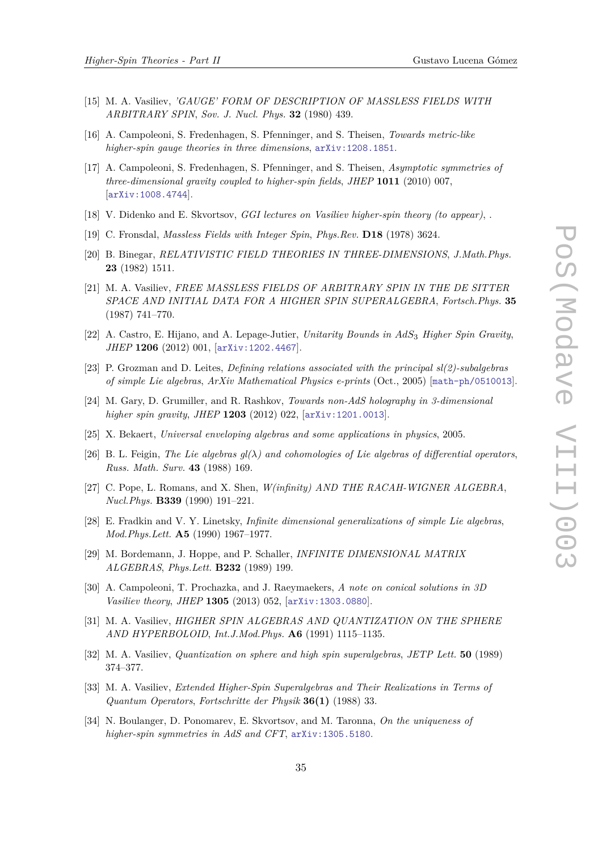- <span id="page-34-0"></span>[15] M. A. Vasiliev, *'GAUGE' FORM OF DESCRIPTION OF MASSLESS FIELDS WITH ARBITRARY SPIN*, *Sov. J. Nucl. Phys.* **32** (1980) 439.
- [16] A. Campoleoni, S. Fredenhagen, S. Pfenninger, and S. Theisen, *Towards metric-like higher-spin gauge theories in three dimensions*, [arXiv:1208.1851](http://xxx.lanl.gov/abs/1208.1851).
- [17] A. Campoleoni, S. Fredenhagen, S. Pfenninger, and S. Theisen, *Asymptotic symmetries of three-dimensional gravity coupled to higher-spin fields*, *JHEP* **1011** (2010) 007, [[arXiv:1008.4744](http://xxx.lanl.gov/abs/1008.4744)].
- [18] V. Didenko and E. Skvortsov, *GGI lectures on Vasiliev higher-spin theory (to appear)*, .
- [19] C. Fronsdal, *Massless Fields with Integer Spin*, *Phys.Rev.* **D18** (1978) 3624.
- [20] B. Binegar, *RELATIVISTIC FIELD THEORIES IN THREE-DIMENSIONS*, *J.Math.Phys.* **23** (1982) 1511.
- [21] M. A. Vasiliev, *FREE MASSLESS FIELDS OF ARBITRARY SPIN IN THE DE SITTER SPACE AND INITIAL DATA FOR A HIGHER SPIN SUPERALGEBRA*, *Fortsch.Phys.* **35** (1987) 741–770.
- [22] A. Castro, E. Hijano, and A. Lepage-Jutier, *Unitarity Bounds in AdS*<sup>3</sup> *Higher Spin Gravity*, *JHEP* **1206** (2012) 001, [[arXiv:1202.4467](http://xxx.lanl.gov/abs/1202.4467)].
- [23] P. Grozman and D. Leites, *Defining relations associated with the principal sl(2)-subalgebras of simple Lie algebras*, *ArXiv Mathematical Physics e-prints* (Oct., 2005) [[math-ph/0510013](http://xxx.lanl.gov/abs/math-ph/0510013)].
- [24] M. Gary, D. Grumiller, and R. Rashkov, *Towards non-AdS holography in 3-dimensional higher spin gravity*, *JHEP* **1203** (2012) 022, [[arXiv:1201.0013](http://xxx.lanl.gov/abs/1201.0013)].
- [25] X. Bekaert, *Universal enveloping algebras and some applications in physics*, 2005.
- [26] B. L. Feigin, *The Lie algebras*  $q_l(\lambda)$  *and cohomologies of Lie algebras of differential operators*, *Russ. Math. Surv.* **43** (1988) 169.
- [27] C. Pope, L. Romans, and X. Shen, *W(infinity) AND THE RACAH-WIGNER ALGEBRA*, *Nucl.Phys.* **B339** (1990) 191–221.
- [28] E. Fradkin and V. Y. Linetsky, *Infinite dimensional generalizations of simple Lie algebras*, *Mod.Phys.Lett.* **A5** (1990) 1967–1977.
- [29] M. Bordemann, J. Hoppe, and P. Schaller, *INFINITE DIMENSIONAL MATRIX ALGEBRAS*, *Phys.Lett.* **B232** (1989) 199.
- [30] A. Campoleoni, T. Prochazka, and J. Raeymaekers, *A note on conical solutions in 3D Vasiliev theory*, *JHEP* **1305** (2013) 052, [[arXiv:1303.0880](http://xxx.lanl.gov/abs/1303.0880)].
- [31] M. A. Vasiliev, *HIGHER SPIN ALGEBRAS AND QUANTIZATION ON THE SPHERE AND HYPERBOLOID*, *Int.J.Mod.Phys.* **A6** (1991) 1115–1135.
- [32] M. A. Vasiliev, *Quantization on sphere and high spin superalgebras*, *JETP Lett.* **50** (1989) 374–377.
- [33] M. A. Vasiliev, *Extended Higher-Spin Superalgebras and Their Realizations in Terms of Quantum Operators*, *Fortschritte der Physik* **36(1)** (1988) 33.
- [34] N. Boulanger, D. Ponomarev, E. Skvortsov, and M. Taronna, *On the uniqueness of higher-spin symmetries in AdS and CFT*, [arXiv:1305.5180](http://xxx.lanl.gov/abs/1305.5180).